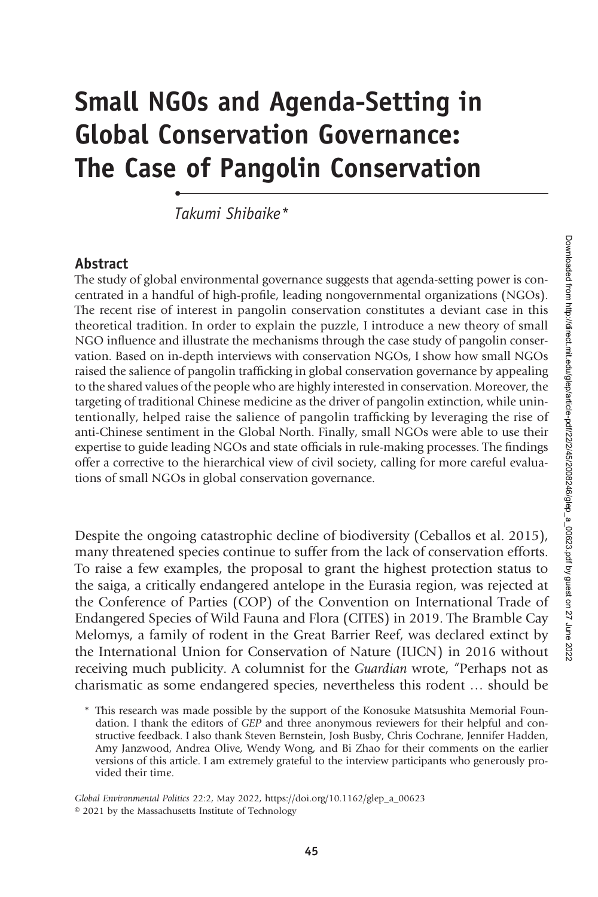# Small NGOs and Agenda-Setting in Global Conservation Governance: The Case of Pangolin Conservation

Takumi Shibaike\*

•

#### Abstract

The study of global environmental governance suggests that agenda-setting power is concentrated in a handful of high-profile, leading nongovernmental organizations (NGOs). The recent rise of interest in pangolin conservation constitutes a deviant case in this theoretical tradition. In order to explain the puzzle, I introduce a new theory of small NGO influence and illustrate the mechanisms through the case study of pangolin conservation. Based on in-depth interviews with conservation NGOs, I show how small NGOs raised the salience of pangolin trafficking in global conservation governance by appealing to the shared values of the people who are highly interested in conservation. Moreover, the targeting of traditional Chinese medicine as the driver of pangolin extinction, while unintentionally, helped raise the salience of pangolin trafficking by leveraging the rise of anti-Chinese sentiment in the Global North. Finally, small NGOs were able to use their expertise to guide leading NGOs and state officials in rule-making processes. The findings offer a corrective to the hierarchical view of civil society, calling for more careful evaluations of small NGOs in global conservation governance.

Despite the ongoing catastrophic decline of biodiversity (Ceballos et al. 2015), many threatened species continue to suffer from the lack of conservation efforts. To raise a few examples, the proposal to grant the highest protection status to the saiga, a critically endangered antelope in the Eurasia region, was rejected at the Conference of Parties (COP) of the Convention on International Trade of Endangered Species of Wild Fauna and Flora (CITES) in 2019. The Bramble Cay Melomys, a family of rodent in the Great Barrier Reef, was declared extinct by the International Union for Conservation of Nature (IUCN) in 2016 without receiving much publicity. A columnist for the Guardian wrote, "Perhaps not as charismatic as some endangered species, nevertheless this rodent … should be

Global Environmental Politics 22:2, May 2022, https://doi.org/10.1162/glep\_a\_00623 © 2021 by the Massachusetts Institute of Technology

<sup>\*</sup> This research was made possible by the support of the Konosuke Matsushita Memorial Foundation. I thank the editors of GEP and three anonymous reviewers for their helpful and constructive feedback. I also thank Steven Bernstein, Josh Busby, Chris Cochrane, Jennifer Hadden, Amy Janzwood, Andrea Olive, Wendy Wong, and Bi Zhao for their comments on the earlier versions of this article. I am extremely grateful to the interview participants who generously provided their time.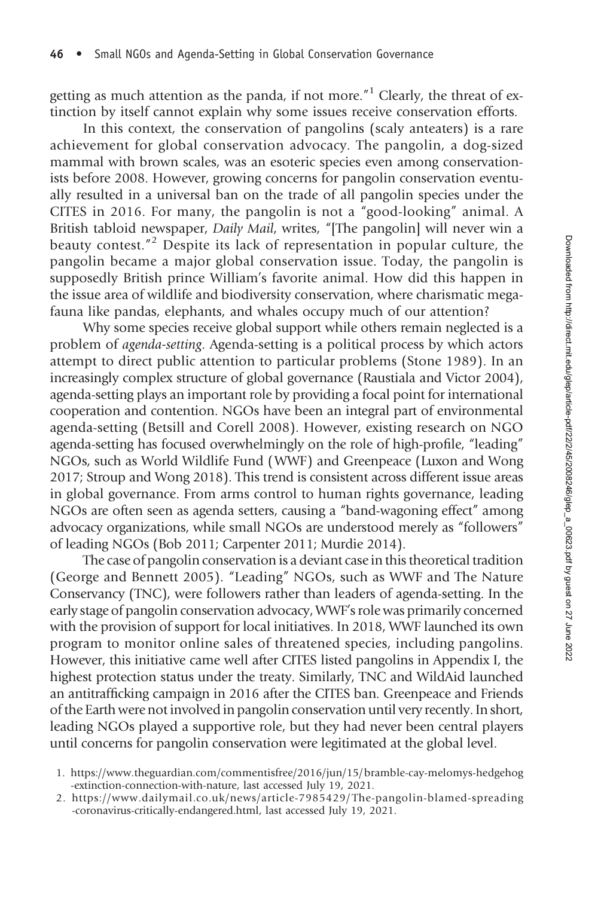getting as much attention as the panda, if not more."<sup>1</sup> Clearly, the threat of extinction by itself cannot explain why some issues receive conservation efforts.

In this context, the conservation of pangolins (scaly anteaters) is a rare achievement for global conservation advocacy. The pangolin, a dog-sized mammal with brown scales, was an esoteric species even among conservationists before 2008. However, growing concerns for pangolin conservation eventually resulted in a universal ban on the trade of all pangolin species under the CITES in 2016. For many, the pangolin is not a "good-looking" animal. A British tabloid newspaper, Daily Mail, writes, "[The pangolin] will never win a beauty contest."<sup>2</sup> Despite its lack of representation in popular culture, the pangolin became a major global conservation issue. Today, the pangolin is supposedly British prince William's favorite animal. How did this happen in the issue area of wildlife and biodiversity conservation, where charismatic megafauna like pandas, elephants, and whales occupy much of our attention?

Why some species receive global support while others remain neglected is a problem of agenda-setting. Agenda-setting is a political process by which actors attempt to direct public attention to particular problems (Stone 1989). In an increasingly complex structure of global governance (Raustiala and Victor 2004), agenda-setting plays an important role by providing a focal point for international cooperation and contention. NGOs have been an integral part of environmental agenda-setting (Betsill and Corell 2008). However, existing research on NGO agenda-setting has focused overwhelmingly on the role of high-profile, "leading" NGOs, such as World Wildlife Fund (WWF) and Greenpeace (Luxon and Wong 2017; Stroup and Wong 2018). This trend is consistent across different issue areas in global governance. From arms control to human rights governance, leading NGOs are often seen as agenda setters, causing a "band-wagoning effect" among advocacy organizations, while small NGOs are understood merely as "followers" of leading NGOs (Bob 2011; Carpenter 2011; Murdie 2014).

The case of pangolin conservation is a deviant case in this theoretical tradition (George and Bennett 2005). "Leading" NGOs, such as WWF and The Nature Conservancy (TNC), were followers rather than leaders of agenda-setting. In the early stage of pangolin conservation advocacy, WWF's role was primarily concerned with the provision of support for local initiatives. In 2018, WWF launched its own program to monitor online sales of threatened species, including pangolins. However, this initiative came well after CITES listed pangolins in Appendix I, the highest protection status under the treaty. Similarly, TNC and WildAid launched an antitrafficking campaign in 2016 after the CITES ban. Greenpeace and Friends of the Earth were not involved in pangolin conservation until very recently. In short, leading NGOs played a supportive role, but they had never been central players until concerns for pangolin conservation were legitimated at the global level.

- 1. [https://www.theguardian.com/commentisfree/2016/jun/15/bramble-cay-melomys-hedgehog](https://www.theguardian.com/commentisfree/2016/jun/15/bramble-cay-melomys-hedgehog-extinction-connection-with-nature) [-extinction-connection-with-nature](https://www.theguardian.com/commentisfree/2016/jun/15/bramble-cay-melomys-hedgehog-extinction-connection-with-nature), last accessed July 19, 2021.
- 2. [https://www.dailymail.co.uk/news/article-7985429/The-pangolin-blamed-spreading](https://www.dailymail.co.uk/news/article-7985429/The-pangolin-blamed-spreading-coronavirus-critically-endangered.html) [-coronavirus-critically-endangered.html](https://www.dailymail.co.uk/news/article-7985429/The-pangolin-blamed-spreading-coronavirus-critically-endangered.html), last accessed July 19, 2021.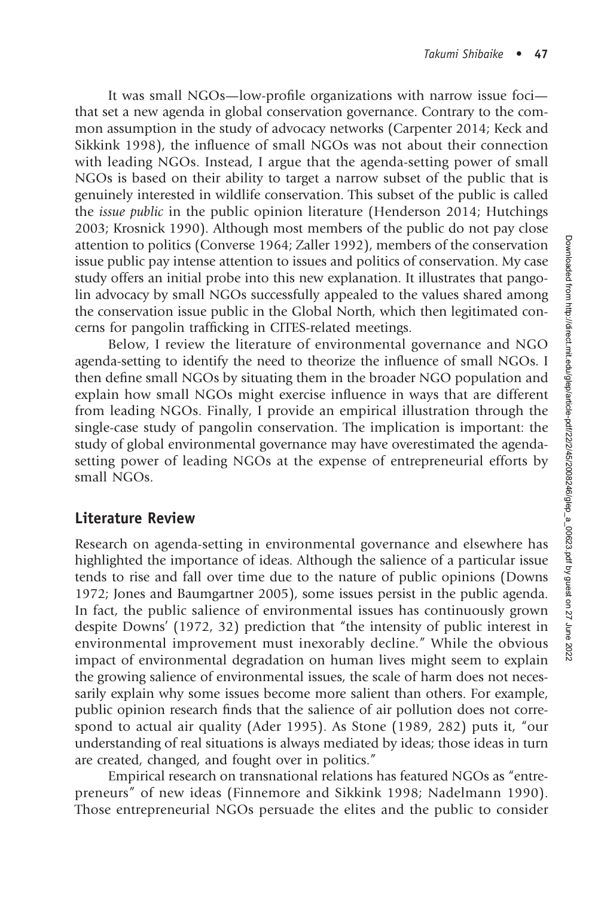It was small NGOs—low-profile organizations with narrow issue foci that set a new agenda in global conservation governance. Contrary to the common assumption in the study of advocacy networks (Carpenter 2014; Keck and Sikkink 1998), the influence of small NGOs was not about their connection with leading NGOs. Instead, I argue that the agenda-setting power of small NGOs is based on their ability to target a narrow subset of the public that is genuinely interested in wildlife conservation. This subset of the public is called the issue public in the public opinion literature (Henderson 2014; Hutchings 2003; Krosnick 1990). Although most members of the public do not pay close attention to politics (Converse 1964; Zaller 1992), members of the conservation issue public pay intense attention to issues and politics of conservation. My case study offers an initial probe into this new explanation. It illustrates that pangolin advocacy by small NGOs successfully appealed to the values shared among the conservation issue public in the Global North, which then legitimated concerns for pangolin trafficking in CITES-related meetings.

Below, I review the literature of environmental governance and NGO agenda-setting to identify the need to theorize the influence of small NGOs. I then define small NGOs by situating them in the broader NGO population and explain how small NGOs might exercise influence in ways that are different from leading NGOs. Finally, I provide an empirical illustration through the single-case study of pangolin conservation. The implication is important: the study of global environmental governance may have overestimated the agendasetting power of leading NGOs at the expense of entrepreneurial efforts by small NGOs.

### Literature Review

Research on agenda-setting in environmental governance and elsewhere has highlighted the importance of ideas. Although the salience of a particular issue tends to rise and fall over time due to the nature of public opinions (Downs 1972; Jones and Baumgartner 2005), some issues persist in the public agenda. In fact, the public salience of environmental issues has continuously grown despite Downs' (1972, 32) prediction that "the intensity of public interest in environmental improvement must inexorably decline." While the obvious impact of environmental degradation on human lives might seem to explain the growing salience of environmental issues, the scale of harm does not necessarily explain why some issues become more salient than others. For example, public opinion research finds that the salience of air pollution does not correspond to actual air quality (Ader 1995). As Stone (1989, 282) puts it, "our understanding of real situations is always mediated by ideas; those ideas in turn are created, changed, and fought over in politics."

Empirical research on transnational relations has featured NGOs as "entrepreneurs" of new ideas (Finnemore and Sikkink 1998; Nadelmann 1990). Those entrepreneurial NGOs persuade the elites and the public to consider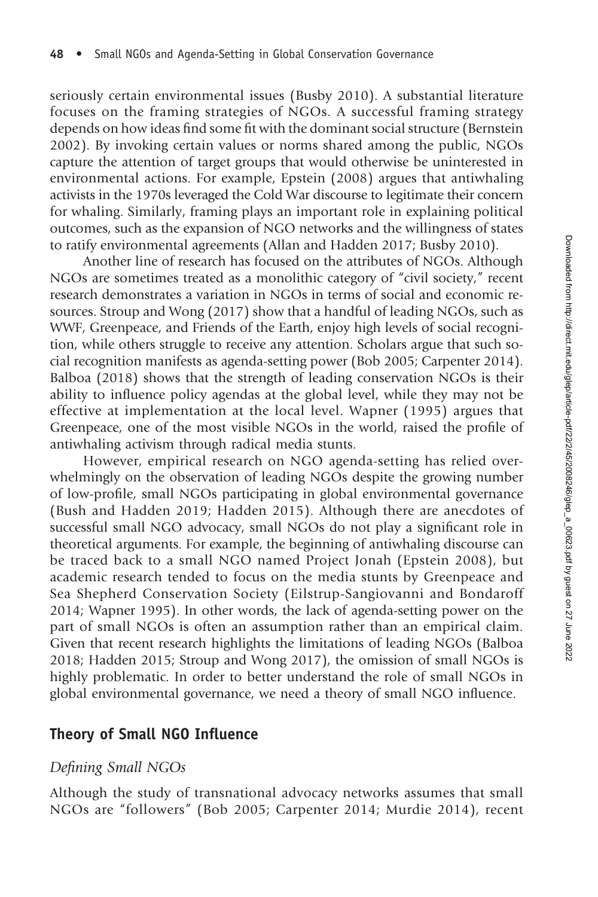seriously certain environmental issues (Busby 2010). A substantial literature focuses on the framing strategies of NGOs. A successful framing strategy depends on how ideas find some fit with the dominant social structure (Bernstein 2002). By invoking certain values or norms shared among the public, NGOs capture the attention of target groups that would otherwise be uninterested in environmental actions. For example, Epstein (2008) argues that antiwhaling activists in the 1970s leveraged the Cold War discourse to legitimate their concern for whaling. Similarly, framing plays an important role in explaining political outcomes, such as the expansion of NGO networks and the willingness of states to ratify environmental agreements (Allan and Hadden 2017; Busby 2010).

Another line of research has focused on the attributes of NGOs. Although NGOs are sometimes treated as a monolithic category of "civil society," recent research demonstrates a variation in NGOs in terms of social and economic resources. Stroup and Wong (2017) show that a handful of leading NGOs, such as WWF, Greenpeace, and Friends of the Earth, enjoy high levels of social recognition, while others struggle to receive any attention. Scholars argue that such social recognition manifests as agenda-setting power (Bob 2005; Carpenter 2014). Balboa (2018) shows that the strength of leading conservation NGOs is their ability to influence policy agendas at the global level, while they may not be effective at implementation at the local level. Wapner (1995) argues that Greenpeace, one of the most visible NGOs in the world, raised the profile of antiwhaling activism through radical media stunts.

However, empirical research on NGO agenda-setting has relied overwhelmingly on the observation of leading NGOs despite the growing number of low-profile, small NGOs participating in global environmental governance (Bush and Hadden 2019; Hadden 2015). Although there are anecdotes of successful small NGO advocacy, small NGOs do not play a significant role in theoretical arguments. For example, the beginning of antiwhaling discourse can be traced back to a small NGO named Project Jonah (Epstein 2008), but academic research tended to focus on the media stunts by Greenpeace and Sea Shepherd Conservation Society (Eilstrup-Sangiovanni and Bondaroff 2014; Wapner 1995). In other words, the lack of agenda-setting power on the part of small NGOs is often an assumption rather than an empirical claim. Given that recent research highlights the limitations of leading NGOs (Balboa 2018; Hadden 2015; Stroup and Wong 2017), the omission of small NGOs is highly problematic. In order to better understand the role of small NGOs in global environmental governance, we need a theory of small NGO influence.

#### Theory of Small NGO Influence

#### Defining Small NGOs

Although the study of transnational advocacy networks assumes that small NGOs are "followers" (Bob 2005; Carpenter 2014; Murdie 2014), recent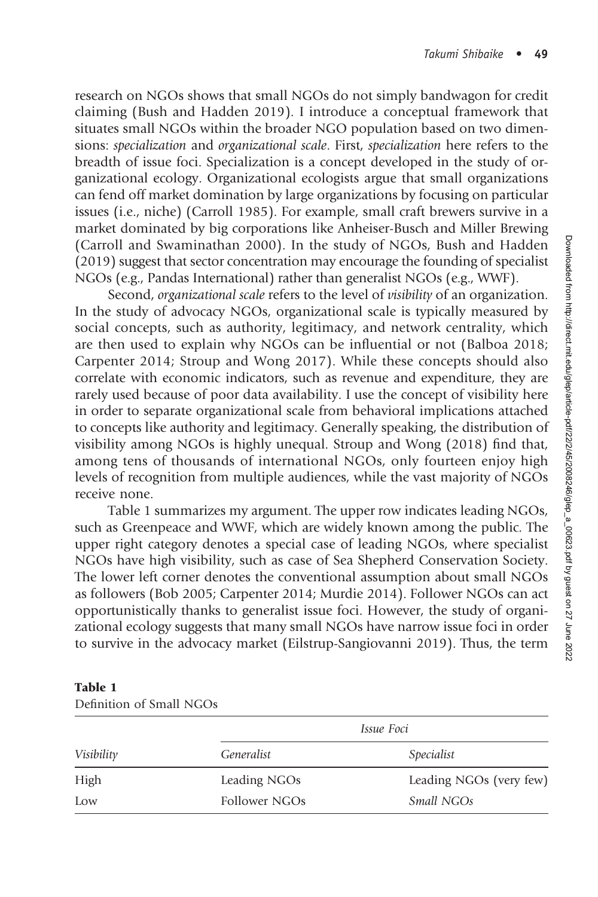research on NGOs shows that small NGOs do not simply bandwagon for credit claiming (Bush and Hadden 2019). I introduce a conceptual framework that situates small NGOs within the broader NGO population based on two dimensions: specialization and organizational scale. First, specialization here refers to the breadth of issue foci. Specialization is a concept developed in the study of organizational ecology. Organizational ecologists argue that small organizations can fend off market domination by large organizations by focusing on particular issues (i.e., niche) (Carroll 1985). For example, small craft brewers survive in a market dominated by big corporations like Anheiser-Busch and Miller Brewing (Carroll and Swaminathan 2000). In the study of NGOs, Bush and Hadden (2019) suggest that sector concentration may encourage the founding of specialist NGOs (e.g., Pandas International) rather than generalist NGOs (e.g., WWF).

Second, organizational scale refers to the level of visibility of an organization. In the study of advocacy NGOs, organizational scale is typically measured by social concepts, such as authority, legitimacy, and network centrality, which are then used to explain why NGOs can be influential or not (Balboa 2018; Carpenter 2014; Stroup and Wong 2017). While these concepts should also correlate with economic indicators, such as revenue and expenditure, they are rarely used because of poor data availability. I use the concept of visibility here in order to separate organizational scale from behavioral implications attached to concepts like authority and legitimacy. Generally speaking, the distribution of visibility among NGOs is highly unequal. Stroup and Wong (2018) find that, among tens of thousands of international NGOs, only fourteen enjoy high levels of recognition from multiple audiences, while the vast majority of NGOs receive none.

Table 1 summarizes my argument. The upper row indicates leading NGOs, such as Greenpeace and WWF, which are widely known among the public. The upper right category denotes a special case of leading NGOs, where specialist NGOs have high visibility, such as case of Sea Shepherd Conservation Society. The lower left corner denotes the conventional assumption about small NGOs as followers (Bob 2005; Carpenter 2014; Murdie 2014). Follower NGOs can act opportunistically thanks to generalist issue foci. However, the study of organizational ecology suggests that many small NGOs have narrow issue foci in order to survive in the advocacy market (Eilstrup-Sangiovanni 2019). Thus, the term

| Visibility | <i>Issue Foci</i> |                         |  |
|------------|-------------------|-------------------------|--|
|            | Generalist        | Specialist              |  |
| High       | Leading NGOs      | Leading NGOs (very few) |  |
| Low        | Follower NGOs     | Small NGOs              |  |

#### Table 1

| Definition of Small NGOs |  |  |
|--------------------------|--|--|
|                          |  |  |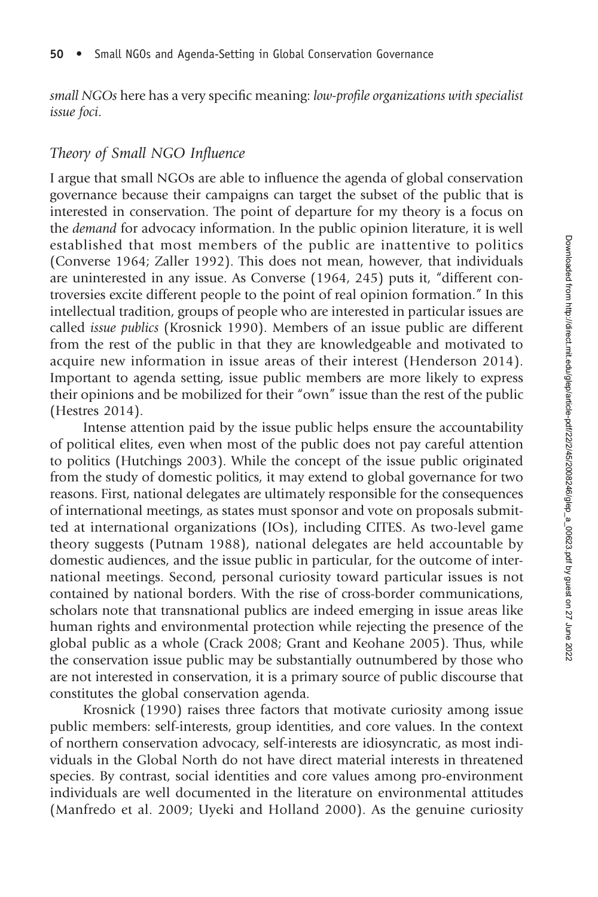small NGOs here has a very specific meaning: low-profile organizations with specialist issue foci.

#### Theory of Small NGO Influence

I argue that small NGOs are able to influence the agenda of global conservation governance because their campaigns can target the subset of the public that is interested in conservation. The point of departure for my theory is a focus on the demand for advocacy information. In the public opinion literature, it is well established that most members of the public are inattentive to politics (Converse 1964; Zaller 1992). This does not mean, however, that individuals are uninterested in any issue. As Converse (1964, 245) puts it, "different controversies excite different people to the point of real opinion formation." In this intellectual tradition, groups of people who are interested in particular issues are called issue publics (Krosnick 1990). Members of an issue public are different from the rest of the public in that they are knowledgeable and motivated to acquire new information in issue areas of their interest (Henderson 2014). Important to agenda setting, issue public members are more likely to express their opinions and be mobilized for their "own" issue than the rest of the public (Hestres 2014).

Intense attention paid by the issue public helps ensure the accountability of political elites, even when most of the public does not pay careful attention to politics (Hutchings 2003). While the concept of the issue public originated from the study of domestic politics, it may extend to global governance for two reasons. First, national delegates are ultimately responsible for the consequences of international meetings, as states must sponsor and vote on proposals submitted at international organizations (IOs), including CITES. As two-level game theory suggests (Putnam 1988), national delegates are held accountable by domestic audiences, and the issue public in particular, for the outcome of international meetings. Second, personal curiosity toward particular issues is not contained by national borders. With the rise of cross-border communications, scholars note that transnational publics are indeed emerging in issue areas like human rights and environmental protection while rejecting the presence of the global public as a whole (Crack 2008; Grant and Keohane 2005). Thus, while the conservation issue public may be substantially outnumbered by those who are not interested in conservation, it is a primary source of public discourse that constitutes the global conservation agenda.

Krosnick (1990) raises three factors that motivate curiosity among issue public members: self-interests, group identities, and core values. In the context of northern conservation advocacy, self-interests are idiosyncratic, as most individuals in the Global North do not have direct material interests in threatened species. By contrast, social identities and core values among pro-environment individuals are well documented in the literature on environmental attitudes (Manfredo et al. 2009; Uyeki and Holland 2000). As the genuine curiosity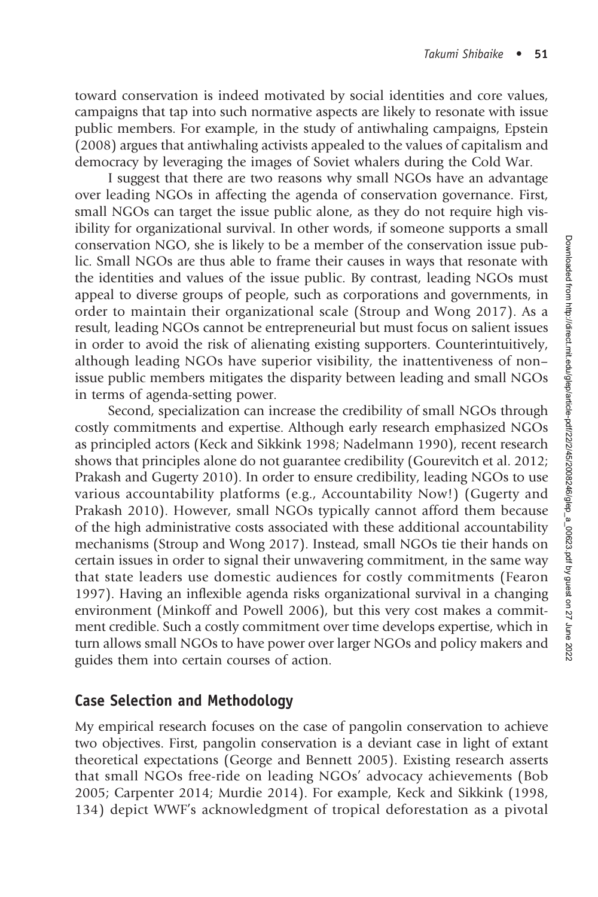toward conservation is indeed motivated by social identities and core values, campaigns that tap into such normative aspects are likely to resonate with issue public members. For example, in the study of antiwhaling campaigns, Epstein (2008) argues that antiwhaling activists appealed to the values of capitalism and democracy by leveraging the images of Soviet whalers during the Cold War.

I suggest that there are two reasons why small NGOs have an advantage over leading NGOs in affecting the agenda of conservation governance. First, small NGOs can target the issue public alone, as they do not require high visibility for organizational survival. In other words, if someone supports a small conservation NGO, she is likely to be a member of the conservation issue public. Small NGOs are thus able to frame their causes in ways that resonate with the identities and values of the issue public. By contrast, leading NGOs must appeal to diverse groups of people, such as corporations and governments, in order to maintain their organizational scale (Stroup and Wong 2017). As a result, leading NGOs cannot be entrepreneurial but must focus on salient issues in order to avoid the risk of alienating existing supporters. Counterintuitively, although leading NGOs have superior visibility, the inattentiveness of non– issue public members mitigates the disparity between leading and small NGOs in terms of agenda-setting power.

Second, specialization can increase the credibility of small NGOs through costly commitments and expertise. Although early research emphasized NGOs as principled actors (Keck and Sikkink 1998; Nadelmann 1990), recent research shows that principles alone do not guarantee credibility (Gourevitch et al. 2012; Prakash and Gugerty 2010). In order to ensure credibility, leading NGOs to use various accountability platforms (e.g., Accountability Now!) (Gugerty and Prakash 2010). However, small NGOs typically cannot afford them because of the high administrative costs associated with these additional accountability mechanisms (Stroup and Wong 2017). Instead, small NGOs tie their hands on certain issues in order to signal their unwavering commitment, in the same way that state leaders use domestic audiences for costly commitments (Fearon 1997). Having an inflexible agenda risks organizational survival in a changing environment (Minkoff and Powell 2006), but this very cost makes a commitment credible. Such a costly commitment over time develops expertise, which in turn allows small NGOs to have power over larger NGOs and policy makers and guides them into certain courses of action.

### Case Selection and Methodology

My empirical research focuses on the case of pangolin conservation to achieve two objectives. First, pangolin conservation is a deviant case in light of extant theoretical expectations (George and Bennett 2005). Existing research asserts that small NGOs free-ride on leading NGOs' advocacy achievements (Bob 2005; Carpenter 2014; Murdie 2014). For example, Keck and Sikkink (1998, 134) depict WWF's acknowledgment of tropical deforestation as a pivotal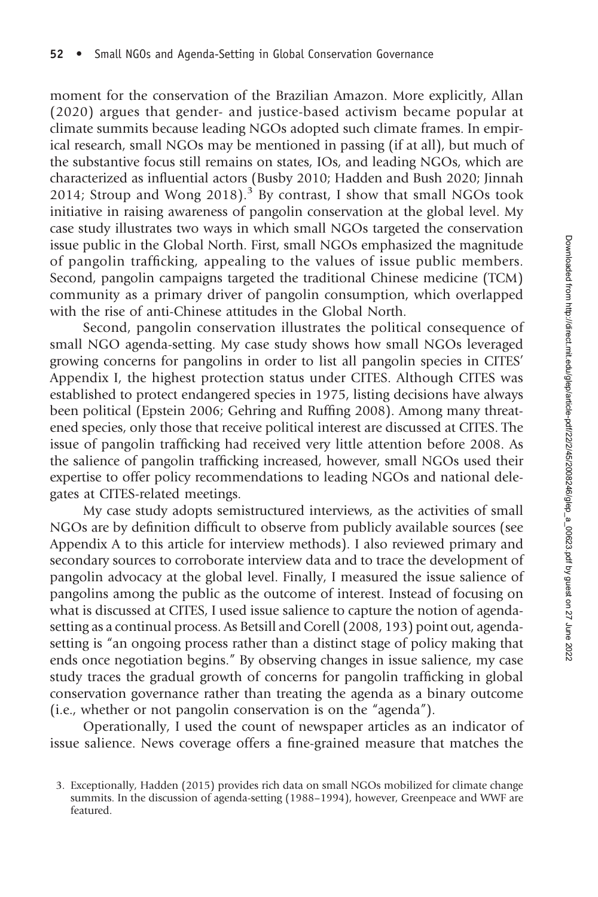moment for the conservation of the Brazilian Amazon. More explicitly, Allan (2020) argues that gender- and justice-based activism became popular at climate summits because leading NGOs adopted such climate frames. In empirical research, small NGOs may be mentioned in passing (if at all), but much of the substantive focus still remains on states, IOs, and leading NGOs, which are characterized as influential actors (Busby 2010; Hadden and Bush 2020; Jinnah 2014; Stroup and Wong 2018).<sup>3</sup> By contrast, I show that small NGOs took initiative in raising awareness of pangolin conservation at the global level. My case study illustrates two ways in which small NGOs targeted the conservation issue public in the Global North. First, small NGOs emphasized the magnitude of pangolin trafficking, appealing to the values of issue public members. Second, pangolin campaigns targeted the traditional Chinese medicine (TCM) community as a primary driver of pangolin consumption, which overlapped with the rise of anti-Chinese attitudes in the Global North.

Second, pangolin conservation illustrates the political consequence of small NGO agenda-setting. My case study shows how small NGOs leveraged growing concerns for pangolins in order to list all pangolin species in CITES' Appendix I, the highest protection status under CITES. Although CITES was established to protect endangered species in 1975, listing decisions have always been political (Epstein 2006; Gehring and Ruffing 2008). Among many threatened species, only those that receive political interest are discussed at CITES. The issue of pangolin trafficking had received very little attention before 2008. As the salience of pangolin trafficking increased, however, small NGOs used their expertise to offer policy recommendations to leading NGOs and national delegates at CITES-related meetings.

My case study adopts semistructured interviews, as the activities of small NGOs are by definition difficult to observe from publicly available sources (see Appendix A to this article for interview methods). I also reviewed primary and secondary sources to corroborate interview data and to trace the development of pangolin advocacy at the global level. Finally, I measured the issue salience of pangolins among the public as the outcome of interest. Instead of focusing on what is discussed at CITES, I used issue salience to capture the notion of agendasetting as a continual process. As Betsill and Corell (2008, 193) point out, agendasetting is "an ongoing process rather than a distinct stage of policy making that ends once negotiation begins." By observing changes in issue salience, my case study traces the gradual growth of concerns for pangolin trafficking in global conservation governance rather than treating the agenda as a binary outcome (i.e., whether or not pangolin conservation is on the "agenda").

Operationally, I used the count of newspaper articles as an indicator of issue salience. News coverage offers a fine-grained measure that matches the

<sup>3.</sup> Exceptionally, Hadden (2015) provides rich data on small NGOs mobilized for climate change summits. In the discussion of agenda-setting (1988–1994), however, Greenpeace and WWF are featured.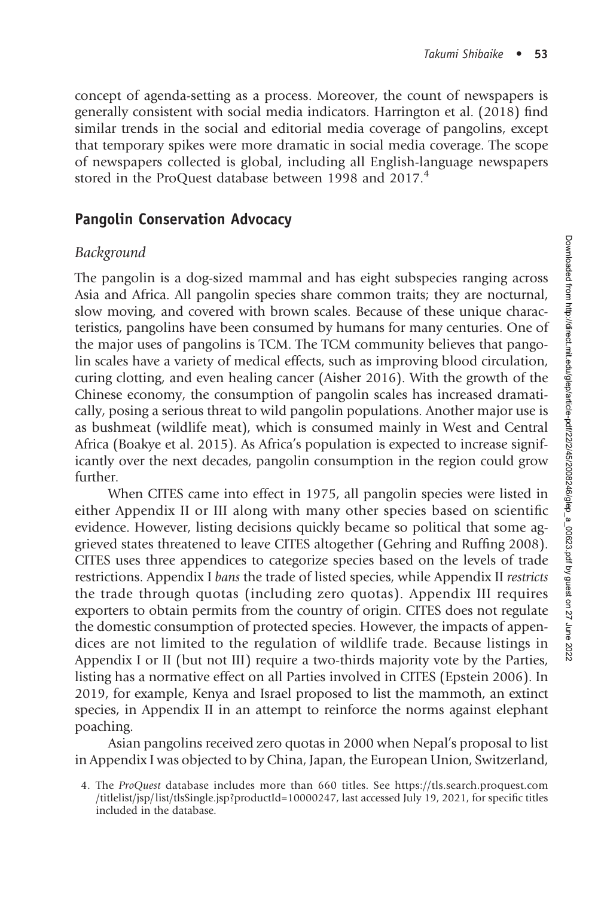concept of agenda-setting as a process. Moreover, the count of newspapers is generally consistent with social media indicators. Harrington et al. (2018) find similar trends in the social and editorial media coverage of pangolins, except that temporary spikes were more dramatic in social media coverage. The scope of newspapers collected is global, including all English-language newspapers stored in the ProQuest database between 1998 and 2017.<sup>4</sup>

#### Pangolin Conservation Advocacy

#### Background

The pangolin is a dog-sized mammal and has eight subspecies ranging across Asia and Africa. All pangolin species share common traits; they are nocturnal, slow moving, and covered with brown scales. Because of these unique characteristics, pangolins have been consumed by humans for many centuries. One of the major uses of pangolins is TCM. The TCM community believes that pangolin scales have a variety of medical effects, such as improving blood circulation, curing clotting, and even healing cancer (Aisher 2016). With the growth of the Chinese economy, the consumption of pangolin scales has increased dramatically, posing a serious threat to wild pangolin populations. Another major use is as bushmeat (wildlife meat), which is consumed mainly in West and Central Africa (Boakye et al. 2015). As Africa's population is expected to increase significantly over the next decades, pangolin consumption in the region could grow further.

When CITES came into effect in 1975, all pangolin species were listed in either Appendix II or III along with many other species based on scientific evidence. However, listing decisions quickly became so political that some aggrieved states threatened to leave CITES altogether (Gehring and Ruffing 2008). CITES uses three appendices to categorize species based on the levels of trade restrictions. Appendix I bans the trade of listed species, while Appendix II restricts the trade through quotas (including zero quotas). Appendix III requires exporters to obtain permits from the country of origin. CITES does not regulate the domestic consumption of protected species. However, the impacts of appendices are not limited to the regulation of wildlife trade. Because listings in Appendix I or II (but not III) require a two-thirds majority vote by the Parties, listing has a normative effect on all Parties involved in CITES (Epstein 2006). In 2019, for example, Kenya and Israel proposed to list the mammoth, an extinct species, in Appendix II in an attempt to reinforce the norms against elephant poaching.

Asian pangolins received zero quotas in 2000 when Nepal's proposal to list in Appendix I was objected to by China, Japan, the European Union, Switzerland,

<sup>4.</sup> The ProQuest database includes more than 660 titles. See [https://tls.search.proquest.com](http://tls.search.proquest.com/titlelist/jsp/list/tlsSingle.jsp?productId=10000247) [/titlelist/jsp/list/tlsSingle.jsp?productId=10000247,](http://tls.search.proquest.com/titlelist/jsp/list/tlsSingle.jsp?productId=10000247) last accessed July 19, 2021, for specific titles included in the database.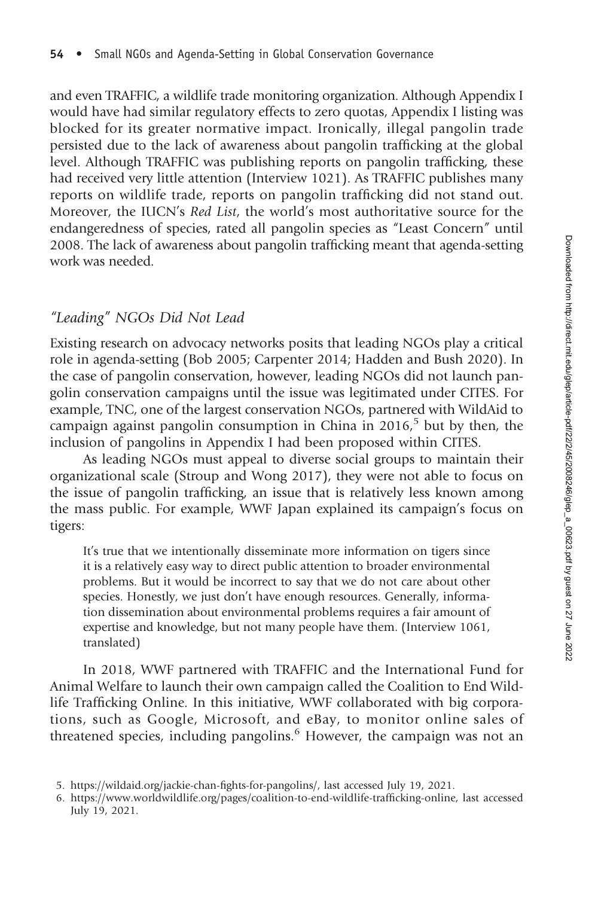and even TRAFFIC, a wildlife trade monitoring organization. Although Appendix I would have had similar regulatory effects to zero quotas, Appendix I listing was blocked for its greater normative impact. Ironically, illegal pangolin trade persisted due to the lack of awareness about pangolin trafficking at the global level. Although TRAFFIC was publishing reports on pangolin trafficking, these had received very little attention (Interview 1021). As TRAFFIC publishes many reports on wildlife trade, reports on pangolin trafficking did not stand out. Moreover, the IUCN's Red List, the world's most authoritative source for the endangeredness of species, rated all pangolin species as "Least Concern" until 2008. The lack of awareness about pangolin trafficking meant that agenda-setting work was needed.

#### "Leading" NGOs Did Not Lead

Existing research on advocacy networks posits that leading NGOs play a critical role in agenda-setting (Bob 2005; Carpenter 2014; Hadden and Bush 2020). In the case of pangolin conservation, however, leading NGOs did not launch pangolin conservation campaigns until the issue was legitimated under CITES. For example, TNC, one of the largest conservation NGOs, partnered with WildAid to campaign against pangolin consumption in China in  $2016<sup>5</sup>$  but by then, the inclusion of pangolins in Appendix I had been proposed within CITES.

As leading NGOs must appeal to diverse social groups to maintain their organizational scale (Stroup and Wong 2017), they were not able to focus on the issue of pangolin trafficking, an issue that is relatively less known among the mass public. For example, WWF Japan explained its campaign's focus on tigers:

It's true that we intentionally disseminate more information on tigers since it is a relatively easy way to direct public attention to broader environmental problems. But it would be incorrect to say that we do not care about other species. Honestly, we just don't have enough resources. Generally, information dissemination about environmental problems requires a fair amount of expertise and knowledge, but not many people have them. (Interview 1061, translated)

In 2018, WWF partnered with TRAFFIC and the International Fund for Animal Welfare to launch their own campaign called the Coalition to End Wildlife Trafficking Online. In this initiative, WWF collaborated with big corporations, such as Google, Microsoft, and eBay, to monitor online sales of threatened species, including pangolins.<sup>6</sup> However, the campaign was not an

<sup>5.</sup> [https://wildaid.org/jackie-chan-](https://wildaid.org/jackie-chan-fights-for-pangolins/)fights-for-pangolins/, last accessed July 19, 2021.

<sup>6.</sup> [https://www.worldwildlife.org/pages/coalition-to-end-wildlife-traf](https://www.worldwildlife.org/pages/coalition-to-end-wildlife-trafficking-online)ficking-online, last accessed July 19, 2021.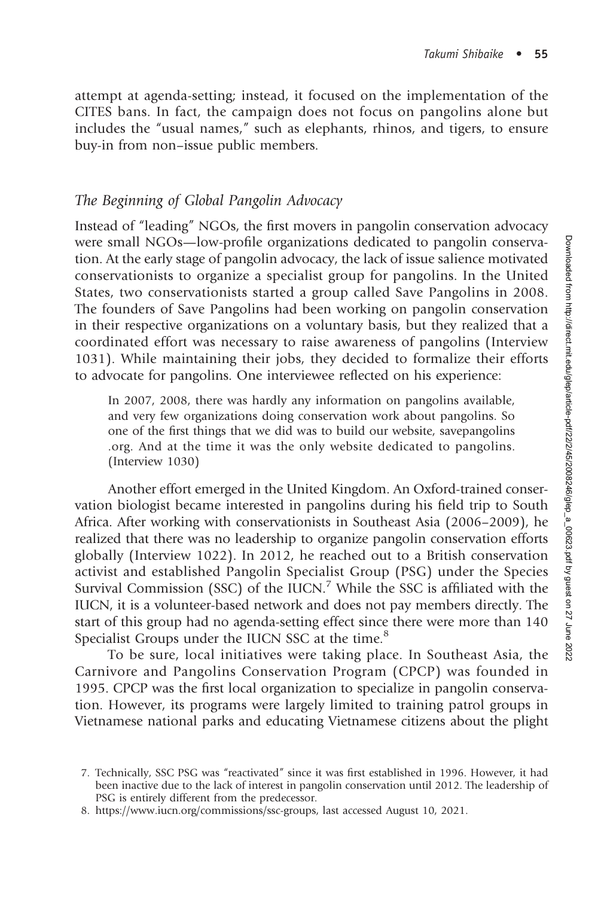attempt at agenda-setting; instead, it focused on the implementation of the CITES bans. In fact, the campaign does not focus on pangolins alone but includes the "usual names," such as elephants, rhinos, and tigers, to ensure buy-in from non–issue public members.

#### The Beginning of Global Pangolin Advocacy

Instead of "leading" NGOs, the first movers in pangolin conservation advocacy were small NGOs—low-profile organizations dedicated to pangolin conservation. At the early stage of pangolin advocacy, the lack of issue salience motivated conservationists to organize a specialist group for pangolins. In the United States, two conservationists started a group called Save Pangolins in 2008. The founders of Save Pangolins had been working on pangolin conservation in their respective organizations on a voluntary basis, but they realized that a coordinated effort was necessary to raise awareness of pangolins (Interview 1031). While maintaining their jobs, they decided to formalize their efforts to advocate for pangolins. One interviewee reflected on his experience:

In 2007, 2008, there was hardly any information on pangolins available, and very few organizations doing conservation work about pangolins. So one of the first things that we did was to build our website, [savepangolins](http://savepangolins.org) [.org](http://savepangolins.org). And at the time it was the only website dedicated to pangolins. (Interview 1030)

Another effort emerged in the United Kingdom. An Oxford-trained conservation biologist became interested in pangolins during his field trip to South Africa. After working with conservationists in Southeast Asia (2006–2009), he realized that there was no leadership to organize pangolin conservation efforts globally (Interview 1022). In 2012, he reached out to a British conservation activist and established Pangolin Specialist Group (PSG) under the Species Survival Commission (SSC) of the IUCN.<sup>7</sup> While the SSC is affiliated with the IUCN, it is a volunteer-based network and does not pay members directly. The start of this group had no agenda-setting effect since there were more than 140 Specialist Groups under the IUCN SSC at the time.<sup>8</sup>

To be sure, local initiatives were taking place. In Southeast Asia, the Carnivore and Pangolins Conservation Program (CPCP) was founded in 1995. CPCP was the first local organization to specialize in pangolin conservation. However, its programs were largely limited to training patrol groups in Vietnamese national parks and educating Vietnamese citizens about the plight

<sup>7.</sup> Technically, SSC PSG was "reactivated" since it was first established in 1996. However, it had been inactive due to the lack of interest in pangolin conservation until 2012. The leadership of PSG is entirely different from the predecessor.

<sup>8.</sup><https://www.iucn.org/commissions/ssc-groups>, last accessed August 10, 2021.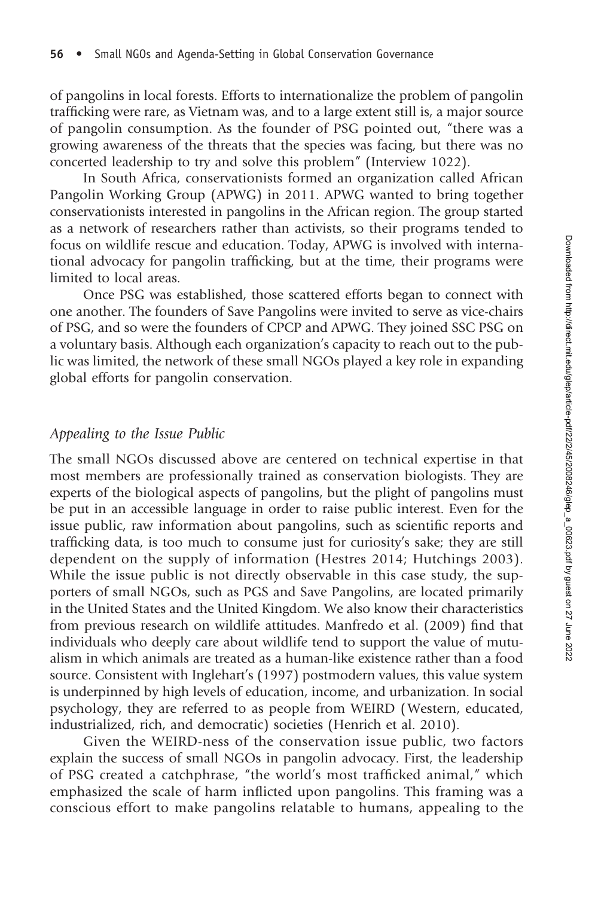of pangolins in local forests. Efforts to internationalize the problem of pangolin trafficking were rare, as Vietnam was, and to a large extent still is, a major source of pangolin consumption. As the founder of PSG pointed out, "there was a growing awareness of the threats that the species was facing, but there was no concerted leadership to try and solve this problem" (Interview 1022).

In South Africa, conservationists formed an organization called African Pangolin Working Group (APWG) in 2011. APWG wanted to bring together conservationists interested in pangolins in the African region. The group started as a network of researchers rather than activists, so their programs tended to focus on wildlife rescue and education. Today, APWG is involved with international advocacy for pangolin trafficking, but at the time, their programs were limited to local areas.

Once PSG was established, those scattered efforts began to connect with one another. The founders of Save Pangolins were invited to serve as vice-chairs of PSG, and so were the founders of CPCP and APWG. They joined SSC PSG on a voluntary basis. Although each organization's capacity to reach out to the public was limited, the network of these small NGOs played a key role in expanding global efforts for pangolin conservation.

#### Appealing to the Issue Public

The small NGOs discussed above are centered on technical expertise in that most members are professionally trained as conservation biologists. They are experts of the biological aspects of pangolins, but the plight of pangolins must be put in an accessible language in order to raise public interest. Even for the issue public, raw information about pangolins, such as scientific reports and trafficking data, is too much to consume just for curiosity's sake; they are still dependent on the supply of information (Hestres 2014; Hutchings 2003). While the issue public is not directly observable in this case study, the supporters of small NGOs, such as PGS and Save Pangolins, are located primarily in the United States and the United Kingdom. We also know their characteristics from previous research on wildlife attitudes. Manfredo et al. (2009) find that individuals who deeply care about wildlife tend to support the value of mutualism in which animals are treated as a human-like existence rather than a food source. Consistent with Inglehart's (1997) postmodern values, this value system is underpinned by high levels of education, income, and urbanization. In social psychology, they are referred to as people from WEIRD (Western, educated, industrialized, rich, and democratic) societies (Henrich et al. 2010).

Given the WEIRD-ness of the conservation issue public, two factors explain the success of small NGOs in pangolin advocacy. First, the leadership of PSG created a catchphrase, "the world's most trafficked animal," which emphasized the scale of harm inflicted upon pangolins. This framing was a conscious effort to make pangolins relatable to humans, appealing to the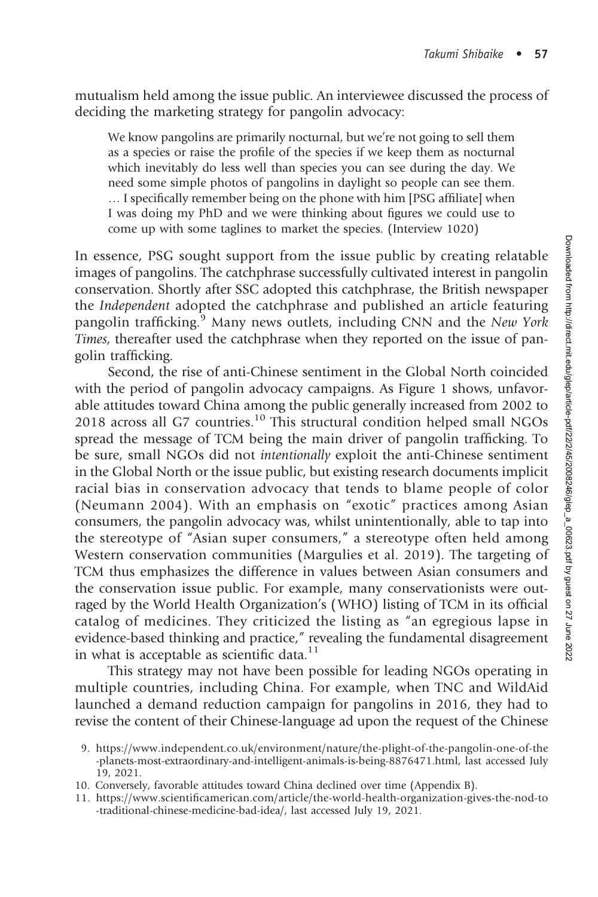mutualism held among the issue public. An interviewee discussed the process of deciding the marketing strategy for pangolin advocacy:

We know pangolins are primarily nocturnal, but we're not going to sell them as a species or raise the profile of the species if we keep them as nocturnal which inevitably do less well than species you can see during the day. We need some simple photos of pangolins in daylight so people can see them. … I specifically remember being on the phone with him [PSG affiliate] when I was doing my PhD and we were thinking about figures we could use to come up with some taglines to market the species. (Interview 1020)

In essence, PSG sought support from the issue public by creating relatable images of pangolins. The catchphrase successfully cultivated interest in pangolin conservation. Shortly after SSC adopted this catchphrase, the British newspaper the Independent adopted the catchphrase and published an article featuring pangolin trafficking.<sup>9</sup> Many news outlets, including CNN and the New York Times, thereafter used the catchphrase when they reported on the issue of pangolin trafficking.

Second, the rise of anti-Chinese sentiment in the Global North coincided with the period of pangolin advocacy campaigns. As Figure 1 shows, unfavorable attitudes toward China among the public generally increased from 2002 to 2018 across all G7 countries.<sup>10</sup> This structural condition helped small NGOs spread the message of TCM being the main driver of pangolin trafficking. To be sure, small NGOs did not intentionally exploit the anti-Chinese sentiment in the Global North or the issue public, but existing research documents implicit racial bias in conservation advocacy that tends to blame people of color (Neumann 2004). With an emphasis on "exotic" practices among Asian consumers, the pangolin advocacy was, whilst unintentionally, able to tap into the stereotype of "Asian super consumers," a stereotype often held among Western conservation communities (Margulies et al. 2019). The targeting of TCM thus emphasizes the difference in values between Asian consumers and the conservation issue public. For example, many conservationists were outraged by the World Health Organization's (WHO) listing of TCM in its official catalog of medicines. They criticized the listing as "an egregious lapse in evidence-based thinking and practice," revealing the fundamental disagreement in what is acceptable as scientific data. $11$ 

This strategy may not have been possible for leading NGOs operating in multiple countries, including China. For example, when TNC and WildAid launched a demand reduction campaign for pangolins in 2016, they had to revise the content of their Chinese-language ad upon the request of the Chinese

- 10. Conversely, favorable attitudes toward China declined over time (Appendix B).
- 11. [https://www.scienti](https://www.scientificamerican.com/article/the-world-health-organization-gives-the-nod-to-traditional-chinese-medicine-bad-idea/)fi[camerican.com/article/the-world-health-organization-gives-the-nod-to](https://www.scientificamerican.com/article/the-world-health-organization-gives-the-nod-to-traditional-chinese-medicine-bad-idea/) [-traditional-chinese-medicine-bad-idea/,](https://www.scientificamerican.com/article/the-world-health-organization-gives-the-nod-to-traditional-chinese-medicine-bad-idea/) last accessed July 19, 2021.

<sup>9.</sup> [https://www.independent.co.uk/environment/nature/the-plight-of-the-pangolin-one-of-the](https://www.independent.co.uk/environment/nature/the-plight-of-the-pangolin-one-of-the-planets-most-extraordinary-and-intelligent-animals-is-being-8876471.html) [-planets-most-extraordinary-and-intelligent-animals-is-being-8876471.html,](https://www.independent.co.uk/environment/nature/the-plight-of-the-pangolin-one-of-the-planets-most-extraordinary-and-intelligent-animals-is-being-8876471.html) last accessed July 19, 2021.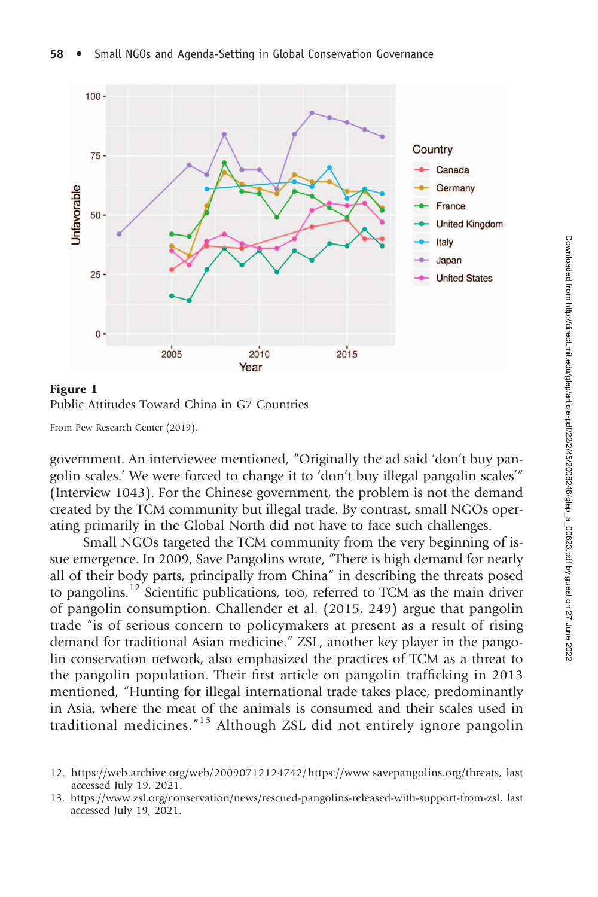

Figure 1 Public Attitudes Toward China in G7 Countries

From Pew Research Center (2019).

government. An interviewee mentioned, "Originally the ad said 'don't buy pangolin scales.' We were forced to change it to 'don't buy illegal pangolin scales'" (Interview 1043). For the Chinese government, the problem is not the demand created by the TCM community but illegal trade. By contrast, small NGOs operating primarily in the Global North did not have to face such challenges.

Small NGOs targeted the TCM community from the very beginning of issue emergence. In 2009, Save Pangolins wrote, "There is high demand for nearly all of their body parts, principally from China" in describing the threats posed to pangolins.<sup>12</sup> Scientific publications, too, referred to TCM as the main driver of pangolin consumption. Challender et al. (2015, 249) argue that pangolin trade "is of serious concern to policymakers at present as a result of rising demand for traditional Asian medicine." ZSL, another key player in the pangolin conservation network, also emphasized the practices of TCM as a threat to the pangolin population. Their first article on pangolin trafficking in 2013 mentioned, "Hunting for illegal international trade takes place, predominantly in Asia, where the meat of the animals is consumed and their scales used in traditional medicines."<sup>13</sup> Although ZSL did not entirely ignore pangolin

<sup>12.</sup> [https://web.archive.org/web/20090712124742/https://www.savepangolins.org/threats,](https://web.archive.org/web/20090712124742/www.savepangolins.org/threats) last accessed July 19, 2021.

<sup>13.</sup><https://www.zsl.org/conservation/news/rescued-pangolins-released-with-support-from-zsl>, last accessed July 19, 2021.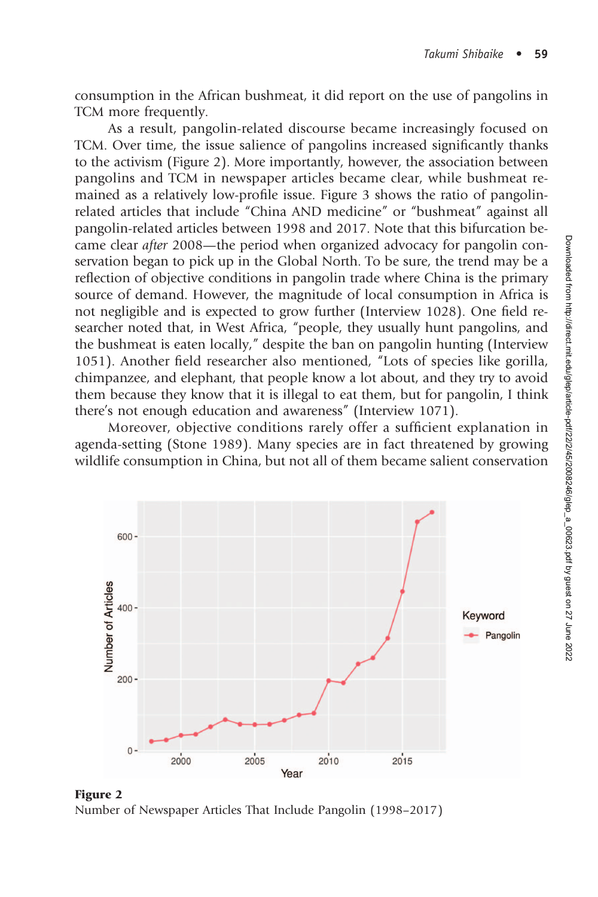consumption in the African bushmeat, it did report on the use of pangolins in TCM more frequently.

As a result, pangolin-related discourse became increasingly focused on TCM. Over time, the issue salience of pangolins increased significantly thanks to the activism (Figure 2). More importantly, however, the association between pangolins and TCM in newspaper articles became clear, while bushmeat remained as a relatively low-profile issue. Figure 3 shows the ratio of pangolinrelated articles that include "China AND medicine" or "bushmeat" against all pangolin-related articles between 1998 and 2017. Note that this bifurcation became clear after 2008—the period when organized advocacy for pangolin conservation began to pick up in the Global North. To be sure, the trend may be a reflection of objective conditions in pangolin trade where China is the primary source of demand. However, the magnitude of local consumption in Africa is not negligible and is expected to grow further (Interview 1028). One field researcher noted that, in West Africa, "people, they usually hunt pangolins, and the bushmeat is eaten locally," despite the ban on pangolin hunting (Interview 1051). Another field researcher also mentioned, "Lots of species like gorilla, chimpanzee, and elephant, that people know a lot about, and they try to avoid them because they know that it is illegal to eat them, but for pangolin, I think there's not enough education and awareness" (Interview 1071).

Moreover, objective conditions rarely offer a sufficient explanation in agenda-setting (Stone 1989). Many species are in fact threatened by growing wildlife consumption in China, but not all of them became salient conservation



Figure 2 Number of Newspaper Articles That Include Pangolin (1998–2017)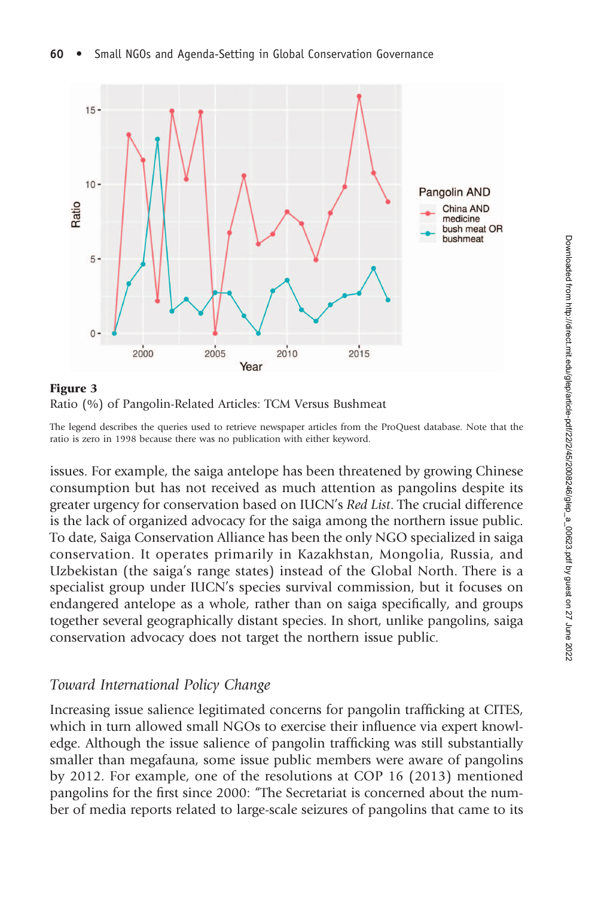

## Ratio (%) of Pangolin-Related Articles: TCM Versus Bushmeat

The legend describes the queries used to retrieve newspaper articles from the ProQuest database. Note that the ratio is zero in 1998 because there was no publication with either keyword.

issues. For example, the saiga antelope has been threatened by growing Chinese consumption but has not received as much attention as pangolins despite its greater urgency for conservation based on IUCN's Red List. The crucial difference is the lack of organized advocacy for the saiga among the northern issue public. To date, Saiga Conservation Alliance has been the only NGO specialized in saiga conservation. It operates primarily in Kazakhstan, Mongolia, Russia, and Uzbekistan (the saiga's range states) instead of the Global North. There is a specialist group under IUCN's species survival commission, but it focuses on endangered antelope as a whole, rather than on saiga specifically, and groups together several geographically distant species. In short, unlike pangolins, saiga conservation advocacy does not target the northern issue public.

### Toward International Policy Change

Increasing issue salience legitimated concerns for pangolin trafficking at CITES, which in turn allowed small NGOs to exercise their influence via expert knowledge. Although the issue salience of pangolin trafficking was still substantially smaller than megafauna, some issue public members were aware of pangolins by 2012. For example, one of the resolutions at COP 16 (2013) mentioned pangolins for the first since 2000: "The Secretariat is concerned about the number of media reports related to large-scale seizures of pangolins that came to its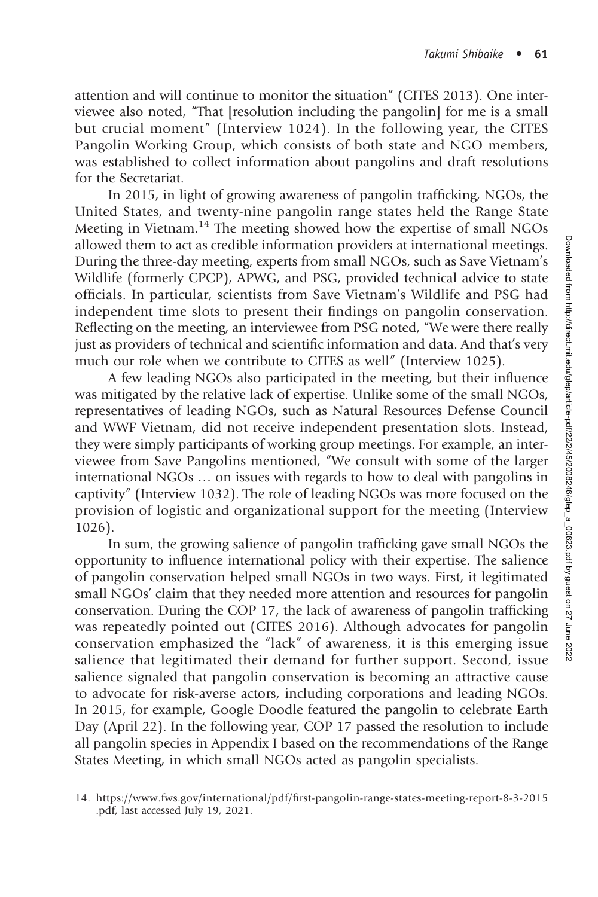attention and will continue to monitor the situation" (CITES 2013). One interviewee also noted, "That [resolution including the pangolin] for me is a small but crucial moment" (Interview 1024). In the following year, the CITES Pangolin Working Group, which consists of both state and NGO members, was established to collect information about pangolins and draft resolutions for the Secretariat.

In 2015, in light of growing awareness of pangolin trafficking, NGOs, the United States, and twenty-nine pangolin range states held the Range State Meeting in Vietnam.<sup>14</sup> The meeting showed how the expertise of small NGOs allowed them to act as credible information providers at international meetings. During the three-day meeting, experts from small NGOs, such as Save Vietnam's Wildlife (formerly CPCP), APWG, and PSG, provided technical advice to state officials. In particular, scientists from Save Vietnam's Wildlife and PSG had independent time slots to present their findings on pangolin conservation. Reflecting on the meeting, an interviewee from PSG noted, "We were there really just as providers of technical and scientific information and data. And that's very much our role when we contribute to CITES as well" (Interview 1025).

A few leading NGOs also participated in the meeting, but their influence was mitigated by the relative lack of expertise. Unlike some of the small NGOs, representatives of leading NGOs, such as Natural Resources Defense Council and WWF Vietnam, did not receive independent presentation slots. Instead, they were simply participants of working group meetings. For example, an interviewee from Save Pangolins mentioned, "We consult with some of the larger international NGOs … on issues with regards to how to deal with pangolins in captivity" (Interview 1032). The role of leading NGOs was more focused on the provision of logistic and organizational support for the meeting (Interview 1026).

In sum, the growing salience of pangolin trafficking gave small NGOs the opportunity to influence international policy with their expertise. The salience of pangolin conservation helped small NGOs in two ways. First, it legitimated small NGOs' claim that they needed more attention and resources for pangolin conservation. During the COP 17, the lack of awareness of pangolin trafficking was repeatedly pointed out (CITES 2016). Although advocates for pangolin conservation emphasized the "lack" of awareness, it is this emerging issue salience that legitimated their demand for further support. Second, issue salience signaled that pangolin conservation is becoming an attractive cause to advocate for risk-averse actors, including corporations and leading NGOs. In 2015, for example, Google Doodle featured the pangolin to celebrate Earth Day (April 22). In the following year, COP 17 passed the resolution to include all pangolin species in Appendix I based on the recommendations of the Range States Meeting, in which small NGOs acted as pangolin specialists.

<sup>14.</sup> [https://www.fws.gov/international/pdf/](https://www.fws.gov/international/pdf/first-pangolin-range-states-meeting-report-8-3-2015.pdf)fi[rst-pangolin-range-states-meeting-report-8-3-2015](https://www.fws.gov/international/pdf/first-pangolin-range-states-meeting-report-8-3-2015.pdf) [.pdf,](https://www.fws.gov/international/pdf/first-pangolin-range-states-meeting-report-8-3-2015.pdf) last accessed July 19, 2021.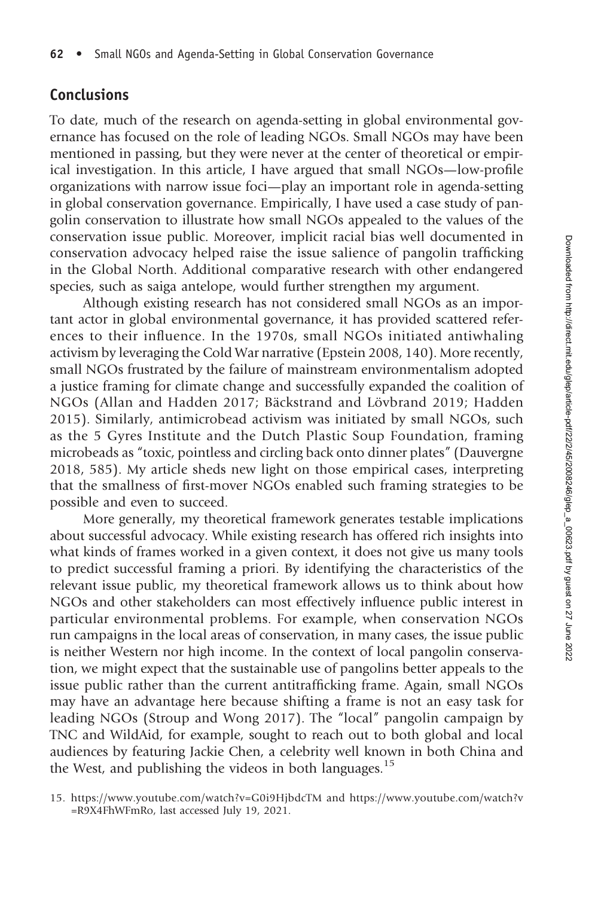### Conclusions

To date, much of the research on agenda-setting in global environmental governance has focused on the role of leading NGOs. Small NGOs may have been mentioned in passing, but they were never at the center of theoretical or empirical investigation. In this article, I have argued that small NGOs—low-profile organizations with narrow issue foci—play an important role in agenda-setting in global conservation governance. Empirically, I have used a case study of pangolin conservation to illustrate how small NGOs appealed to the values of the conservation issue public. Moreover, implicit racial bias well documented in conservation advocacy helped raise the issue salience of pangolin trafficking in the Global North. Additional comparative research with other endangered species, such as saiga antelope, would further strengthen my argument.

Although existing research has not considered small NGOs as an important actor in global environmental governance, it has provided scattered references to their influence. In the 1970s, small NGOs initiated antiwhaling activism by leveraging the Cold War narrative (Epstein 2008, 140). More recently, small NGOs frustrated by the failure of mainstream environmentalism adopted a justice framing for climate change and successfully expanded the coalition of NGOs (Allan and Hadden 2017; Bäckstrand and Lövbrand 2019; Hadden 2015). Similarly, antimicrobead activism was initiated by small NGOs, such as the 5 Gyres Institute and the Dutch Plastic Soup Foundation, framing microbeads as "toxic, pointless and circling back onto dinner plates" (Dauvergne 2018, 585). My article sheds new light on those empirical cases, interpreting that the smallness of first-mover NGOs enabled such framing strategies to be possible and even to succeed.

More generally, my theoretical framework generates testable implications about successful advocacy. While existing research has offered rich insights into what kinds of frames worked in a given context, it does not give us many tools to predict successful framing a priori. By identifying the characteristics of the relevant issue public, my theoretical framework allows us to think about how NGOs and other stakeholders can most effectively influence public interest in particular environmental problems. For example, when conservation NGOs run campaigns in the local areas of conservation, in many cases, the issue public is neither Western nor high income. In the context of local pangolin conservation, we might expect that the sustainable use of pangolins better appeals to the issue public rather than the current antitrafficking frame. Again, small NGOs may have an advantage here because shifting a frame is not an easy task for leading NGOs (Stroup and Wong 2017). The "local" pangolin campaign by TNC and WildAid, for example, sought to reach out to both global and local audiences by featuring Jackie Chen, a celebrity well known in both China and the West, and publishing the videos in both languages.<sup>15</sup>

<sup>15.</sup><https://www.youtube.com/watch?v=G0i9HjbdcTM> and [https://www.youtube.com/watch?v](https://www.youtube.com/watch?v=R9X4FhWFmRo) [=R9X4FhWFmRo,](https://www.youtube.com/watch?v=R9X4FhWFmRo) last accessed July 19, 2021.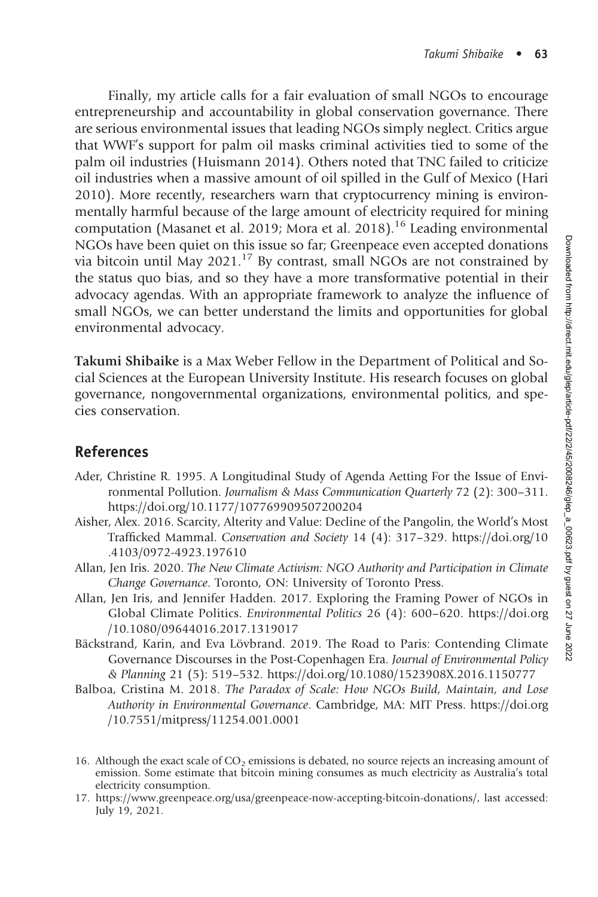Finally, my article calls for a fair evaluation of small NGOs to encourage entrepreneurship and accountability in global conservation governance. There are serious environmental issues that leading NGOs simply neglect. Critics argue that WWF's support for palm oil masks criminal activities tied to some of the palm oil industries (Huismann 2014). Others noted that TNC failed to criticize oil industries when a massive amount of oil spilled in the Gulf of Mexico (Hari 2010). More recently, researchers warn that cryptocurrency mining is environmentally harmful because of the large amount of electricity required for mining computation (Masanet et al. 2019; Mora et al. 2018).<sup>16</sup> Leading environmental NGOs have been quiet on this issue so far; Greenpeace even accepted donations via bitcoin until May 2021.<sup>17</sup> By contrast, small NGOs are not constrained by the status quo bias, and so they have a more transformative potential in their advocacy agendas. With an appropriate framework to analyze the influence of small NGOs, we can better understand the limits and opportunities for global environmental advocacy.

Takumi Shibaike is a Max Weber Fellow in the Department of Political and Social Sciences at the European University Institute. His research focuses on global governance, nongovernmental organizations, environmental politics, and species conservation.

#### References

- Ader, Christine R. 1995. A Longitudinal Study of Agenda Aetting For the Issue of Environmental Pollution. Journalism & Mass Communication Quarterly 72 (2): 300–311. <https://doi.org/10.1177/107769909507200204>
- Aisher, Alex. 2016. Scarcity, Alterity and Value: Decline of the Pangolin, the World's Most Trafficked Mammal. Conservation and Society 14 (4): 317–329. [https://doi.org/10](https://doi.org/10.4103/0972-4923.197610) [.4103/0972-4923.197610](https://doi.org/10.4103/0972-4923.197610)
- Allan, Jen Iris. 2020. The New Climate Activism: NGO Authority and Participation in Climate Change Governance. Toronto, ON: University of Toronto Press.
- Allan, Jen Iris, and Jennifer Hadden. 2017. Exploring the Framing Power of NGOs in Global Climate Politics. Environmental Politics 26 (4): 600–620. [https://doi.org](https://doi.org/10.1080/09644016.2017.1319017) [/10.1080/09644016.2017.1319017](https://doi.org/10.1080/09644016.2017.1319017)
- Bäckstrand, Karin, and Eva Lövbrand. 2019. The Road to Paris: Contending Climate Governance Discourses in the Post-Copenhagen Era. Journal of Environmental Policy & Planning 21 (5): 519–532.<https://doi.org/10.1080/1523908X.2016.1150777>
- Balboa, Cristina M. 2018. The Paradox of Scale: How NGOs Build, Maintain, and Lose Authority in Environmental Governance. Cambridge, MA: MIT Press. [https://doi.org](https://doi.org/10.7551/mitpress/11254.001.0001) [/10.7551/mitpress/11254.001.0001](https://doi.org/10.7551/mitpress/11254.001.0001)
- 16. Although the exact scale of  $CO<sub>2</sub>$  emissions is debated, no source rejects an increasing amount of emission. Some estimate that bitcoin mining consumes as much electricity as Australia's total electricity consumption.
- 17. [https://www.greenpeace.org/usa/greenpeace-now-accepting-bitcoin-donations/,](https://www.greenpeace.org/usa/greenpeace-now-accepting-bitcoin-donations/) last accessed: July 19, 2021.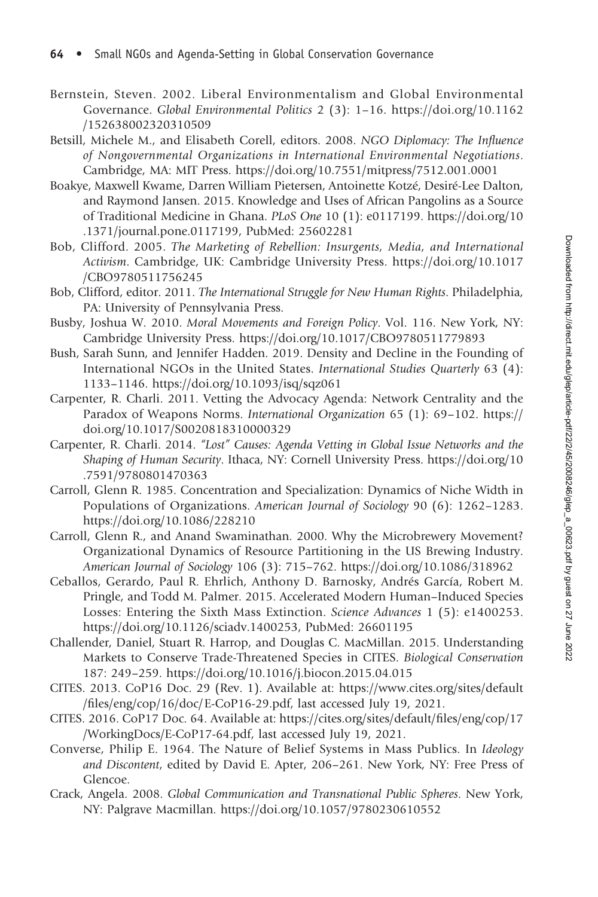- Bernstein, Steven. 2002. Liberal Environmentalism and Global Environmental Governance. Global Environmental Politics 2 (3): 1–16. [https://doi.org/10.1162](https://doi.org/10.1162/152638002320310509) [/152638002320310509](https://doi.org/10.1162/152638002320310509)
- Betsill, Michele M., and Elisabeth Corell, editors. 2008. NGO Diplomacy: The Influence of Nongovernmental Organizations in International Environmental Negotiations. Cambridge, MA: MIT Press.<https://doi.org/10.7551/mitpress/7512.001.0001>
- Boakye, Maxwell Kwame, Darren William Pietersen, Antoinette Kotzé, Desiré-Lee Dalton, and Raymond Jansen. 2015. Knowledge and Uses of African Pangolins as a Source of Traditional Medicine in Ghana. PLoS One 10 (1): e0117199. [https://doi.org/10](https://doi.org/10.1371/journal.pone.0117199) [.1371/journal.pone.0117199](https://doi.org/10.1371/journal.pone.0117199), PubMed: [25602281](https://pubmed.ncbi.nlm.nih.gov/25602281)
- Bob, Clifford. 2005. The Marketing of Rebellion: Insurgents, Media, and International Activism. Cambridge, UK: Cambridge University Press. [https://doi.org/10.1017](https://doi.org/10.1017/CBO9780511756245) [/CBO9780511756245](https://doi.org/10.1017/CBO9780511756245)
- Bob, Clifford, editor. 2011. The International Struggle for New Human Rights. Philadelphia, PA: University of Pennsylvania Press.
- Busby, Joshua W. 2010. Moral Movements and Foreign Policy. Vol. 116. New York, NY: Cambridge University Press.<https://doi.org/10.1017/CBO9780511779893>
- Bush, Sarah Sunn, and Jennifer Hadden. 2019. Density and Decline in the Founding of International NGOs in the United States. International Studies Quarterly 63 (4): 1133–1146.<https://doi.org/10.1093/isq/sqz061>
- Carpenter, R. Charli. 2011. Vetting the Advocacy Agenda: Network Centrality and the Paradox of Weapons Norms. International Organization 65 (1): 69–102. [https://](https://doi.org/10.1017/S0020818310000329) [doi.org/10.1017/S0020818310000329](https://doi.org/10.1017/S0020818310000329)
- Carpenter, R. Charli. 2014. "Lost" Causes: Agenda Vetting in Global Issue Networks and the Shaping of Human Security. Ithaca, NY: Cornell University Press. [https://doi.org/10](https://doi.org/10.7591/9780801470363) [.7591/9780801470363](https://doi.org/10.7591/9780801470363)
- Carroll, Glenn R. 1985. Concentration and Specialization: Dynamics of Niche Width in Populations of Organizations. American Journal of Sociology 90 (6): 1262–1283. <https://doi.org/10.1086/228210>
- Carroll, Glenn R., and Anand Swaminathan. 2000. Why the Microbrewery Movement? Organizational Dynamics of Resource Partitioning in the US Brewing Industry. American Journal of Sociology 106 (3): 715–762.<https://doi.org/10.1086/318962>
- Ceballos, Gerardo, Paul R. Ehrlich, Anthony D. Barnosky, Andrés García, Robert M. Pringle, and Todd M. Palmer. 2015. Accelerated Modern Human–Induced Species Losses: Entering the Sixth Mass Extinction. Science Advances 1 (5): e1400253. <https://doi.org/10.1126/sciadv.1400253>, PubMed: [26601195](https://pubmed.ncbi.nlm.nih.gov/26601195)
- Challender, Daniel, Stuart R. Harrop, and Douglas C. MacMillan. 2015. Understanding Markets to Conserve Trade-Threatened Species in CITES. Biological Conservation 187: 249–259.<https://doi.org/10.1016/j.biocon.2015.04.015>
- CITES. 2013. CoP16 Doc. 29 (Rev. 1). Available at: [https://www.cites.org/sites/default](https://www.cites.org/sites/default/files/eng/cop/16/doc/E-CoP16-29.pdf) /fi[les/eng/cop/16/doc/E-CoP16-29.pdf,](https://www.cites.org/sites/default/files/eng/cop/16/doc/E-CoP16-29.pdf) last accessed July 19, 2021.
- CITES. 2016. CoP17 Doc. 64. Available at: [https://cites.org/sites/default/](https://cites.org/sites/default/files/eng/cop/17/WorkingDocs/E-CoP17-64.pdf)files/eng/cop/17 [/WorkingDocs/E-CoP17-64.pdf](https://cites.org/sites/default/files/eng/cop/17/WorkingDocs/E-CoP17-64.pdf), last accessed July 19, 2021.
- Converse, Philip E. 1964. The Nature of Belief Systems in Mass Publics. In Ideology and Discontent, edited by David E. Apter, 206–261. New York, NY: Free Press of Glencoe.
- Crack, Angela. 2008. Global Communication and Transnational Public Spheres. New York, NY: Palgrave Macmillan.<https://doi.org/10.1057/9780230610552>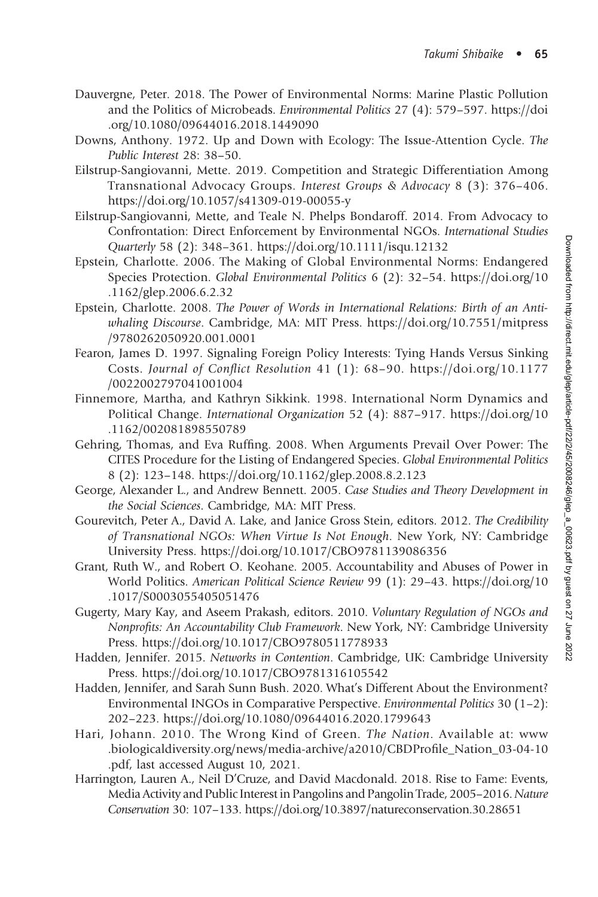- Dauvergne, Peter. 2018. The Power of Environmental Norms: Marine Plastic Pollution and the Politics of Microbeads. Environmental Politics 27 (4): 579–597. [https://doi](https://doi.org/10.1080/09644016.2018.1449090) [.org/10.1080/09644016.2018.1449090](https://doi.org/10.1080/09644016.2018.1449090)
- Downs, Anthony. 1972. Up and Down with Ecology: The Issue-Attention Cycle. The Public Interest 28: 38–50.
- Eilstrup-Sangiovanni, Mette. 2019. Competition and Strategic Differentiation Among Transnational Advocacy Groups. Interest Groups & Advocacy 8 (3): 376–406. <https://doi.org/10.1057/s41309-019-00055-y>
- Eilstrup-Sangiovanni, Mette, and Teale N. Phelps Bondaroff. 2014. From Advocacy to Confrontation: Direct Enforcement by Environmental NGOs. International Studies Quarterly 58 (2): 348–361.<https://doi.org/10.1111/isqu.12132>
- Epstein, Charlotte. 2006. The Making of Global Environmental Norms: Endangered Species Protection. Global Environmental Politics 6 (2): 32–54. [https://doi.org/10](https://doi.org/10.1162/glep.2006.6.2.32) [.1162/glep.2006.6.2.32](https://doi.org/10.1162/glep.2006.6.2.32)
- Epstein, Charlotte. 2008. The Power of Words in International Relations: Birth of an Antiwhaling Discourse. Cambridge, MA: MIT Press. [https://doi.org/10.7551/mitpress](https://doi.org/10.7551/mitpress/9780262050920.001.0001) [/9780262050920.001.0001](https://doi.org/10.7551/mitpress/9780262050920.001.0001)
- Fearon, James D. 1997. Signaling Foreign Policy Interests: Tying Hands Versus Sinking Costs. Journal of Conflict Resolution 41 (1): 68–90. [https://doi.org/10.1177](https://doi.org/10.1177/0022002797041001004) [/0022002797041001004](https://doi.org/10.1177/0022002797041001004)
- Finnemore, Martha, and Kathryn Sikkink. 1998. International Norm Dynamics and Political Change. International Organization 52 (4): 887–917. [https://doi.org/10](https://doi.org/10.1162/002081898550789) [.1162/002081898550789](https://doi.org/10.1162/002081898550789)
- Gehring, Thomas, and Eva Ruffing. 2008. When Arguments Prevail Over Power: The CITES Procedure for the Listing of Endangered Species. Global Environmental Politics 8 (2): 123–148.<https://doi.org/10.1162/glep.2008.8.2.123>
- George, Alexander L., and Andrew Bennett. 2005. Case Studies and Theory Development in the Social Sciences. Cambridge, MA: MIT Press.
- Gourevitch, Peter A., David A. Lake, and Janice Gross Stein, editors. 2012. The Credibility of Transnational NGOs: When Virtue Is Not Enough. New York, NY: Cambridge University Press.<https://doi.org/10.1017/CBO9781139086356>
- Grant, Ruth W., and Robert O. Keohane. 2005. Accountability and Abuses of Power in World Politics. American Political Science Review 99 (1): 29–43. [https://doi.org/10](https://doi.org/10.1017/S0003055405051476) [.1017/S0003055405051476](https://doi.org/10.1017/S0003055405051476)
- Gugerty, Mary Kay, and Aseem Prakash, editors. 2010. Voluntary Regulation of NGOs and Nonprofits: An Accountability Club Framework. New York, NY: Cambridge University Press.<https://doi.org/10.1017/CBO9780511778933>
- Hadden, Jennifer. 2015. Networks in Contention. Cambridge, UK: Cambridge University Press.<https://doi.org/10.1017/CBO9781316105542>
- Hadden, Jennifer, and Sarah Sunn Bush. 2020. What's Different About the Environment? Environmental INGOs in Comparative Perspective. Environmental Politics 30 (1–2): 202–223.<https://doi.org/10.1080/09644016.2020.1799643>
- Hari, Johann. 2010. The Wrong Kind of Green. The Nation. Available at: [www](http://www.biologicaldiversity.org/news/media-archive/a2010/CBDProfile_Nation_03-04-10.pdf) [.biologicaldiversity.org/news/media-archive/a2010/CBDPro](http://www.biologicaldiversity.org/news/media-archive/a2010/CBDProfile_Nation_03-04-10.pdf)file\_Nation\_03-04-10 [.pdf](http://www.biologicaldiversity.org/news/media-archive/a2010/CBDProfile_Nation_03-04-10.pdf), last accessed August 10, 2021.
- Harrington, Lauren A., Neil D'Cruze, and David Macdonald. 2018. Rise to Fame: Events, Media Activity and Public Interest in Pangolins and Pangolin Trade, 2005–2016. Nature Conservation 30: 107–133.<https://doi.org/10.3897/natureconservation.30.28651>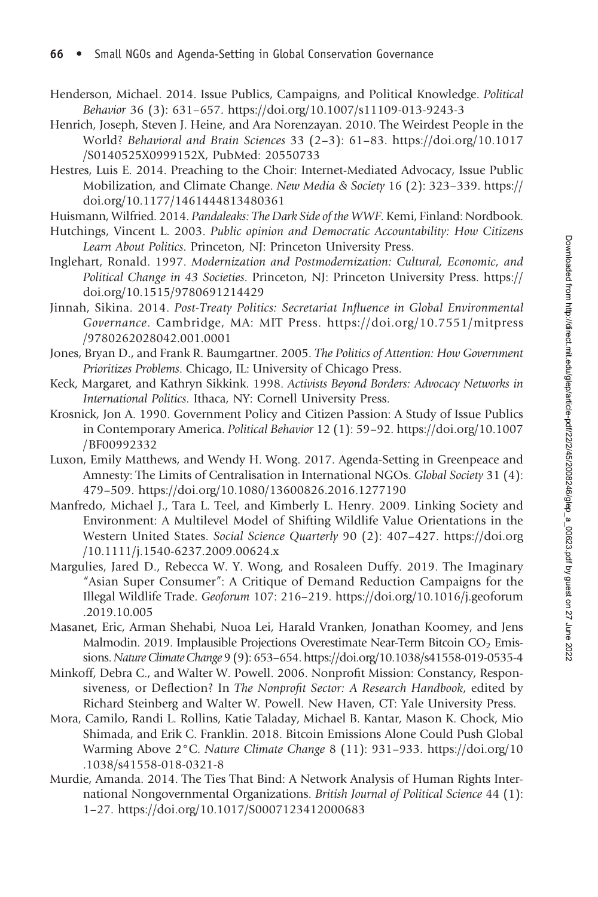- Henderson, Michael. 2014. Issue Publics, Campaigns, and Political Knowledge. Political Behavior 36 (3): 631–657.<https://doi.org/10.1007/s11109-013-9243-3>
- Henrich, Joseph, Steven J. Heine, and Ara Norenzayan. 2010. The Weirdest People in the World? Behavioral and Brain Sciences 33 (2–3): 61–83. [https://doi.org/10.1017](https://doi.org/10.1017/S0140525X0999152X) [/S0140525X0999152X](https://doi.org/10.1017/S0140525X0999152X), PubMed: [20550733](https://pubmed.ncbi.nlm.nih.gov/20550733)
- Hestres, Luis E. 2014. Preaching to the Choir: Internet-Mediated Advocacy, Issue Public Mobilization, and Climate Change. New Media & Society 16 (2): 323–339. [https://](https://doi.org/10.1177/1461444813480361) [doi.org/10.1177/1461444813480361](https://doi.org/10.1177/1461444813480361)

Huismann, Wilfried. 2014. Pandaleaks: The Dark Side of the WWF. Kemi, Finland: Nordbook.

- Hutchings, Vincent L. 2003. Public opinion and Democratic Accountability: How Citizens Learn About Politics. Princeton, NJ: Princeton University Press.
- Inglehart, Ronald. 1997. Modernization and Postmodernization: Cultural, Economic, and Political Change in 43 Societies. Princeton, NJ: Princeton University Press. [https://](https://doi.org/10.1515/9780691214429) [doi.org/10.1515/9780691214429](https://doi.org/10.1515/9780691214429)
- Jinnah, Sikina. 2014. Post-Treaty Politics: Secretariat Influence in Global Environmental Governance. Cambridge, MA: MIT Press. [https://doi.org/10.7551/mitpress](https://doi.org/10.7551/mitpress/9780262028042.001.0001) [/9780262028042.001.0001](https://doi.org/10.7551/mitpress/9780262028042.001.0001)
- Jones, Bryan D., and Frank R. Baumgartner. 2005. The Politics of Attention: How Government Prioritizes Problems. Chicago, IL: University of Chicago Press.
- Keck, Margaret, and Kathryn Sikkink. 1998. Activists Beyond Borders: Advocacy Networks in International Politics. Ithaca, NY: Cornell University Press.
- Krosnick, Jon A. 1990. Government Policy and Citizen Passion: A Study of Issue Publics in Contemporary America. Political Behavior 12 (1): 59–92. [https://doi.org/10.1007](https://doi.org/10.1007/BF00992332) [/BF00992332](https://doi.org/10.1007/BF00992332)
- Luxon, Emily Matthews, and Wendy H. Wong. 2017. Agenda-Setting in Greenpeace and Amnesty: The Limits of Centralisation in International NGOs. Global Society 31 (4): 479–509.<https://doi.org/10.1080/13600826.2016.1277190>
- Manfredo, Michael J., Tara L. Teel, and Kimberly L. Henry. 2009. Linking Society and Environment: A Multilevel Model of Shifting Wildlife Value Orientations in the Western United States. Social Science Quarterly 90 (2): 407–427. [https://doi.org](https://doi.org/10.1111/j.1540-6237.2009.00624.x) [/10.1111/j.1540-6237.2009.00624.x](https://doi.org/10.1111/j.1540-6237.2009.00624.x)
- Margulies, Jared D., Rebecca W. Y. Wong, and Rosaleen Duffy. 2019. The Imaginary "Asian Super Consumer": A Critique of Demand Reduction Campaigns for the Illegal Wildlife Trade. Geoforum 107: 216–219. [https://doi.org/10.1016/j.geoforum](https://doi.org/10.1016/j.geoforum.2019.10.005) [.2019.10.005](https://doi.org/10.1016/j.geoforum.2019.10.005)
- Masanet, Eric, Arman Shehabi, Nuoa Lei, Harald Vranken, Jonathan Koomey, and Jens Malmodin. 2019. Implausible Projections Overestimate Near-Term Bitcoin  $CO<sub>2</sub>$  Emissions.Nature Climate Change 9 (9): 653–654.<https://doi.org/10.1038/s41558-019-0535-4>
- Minkoff, Debra C., and Walter W. Powell. 2006. Nonprofit Mission: Constancy, Responsiveness, or Deflection? In The Nonprofit Sector: A Research Handbook, edited by Richard Steinberg and Walter W. Powell. New Haven, CT: Yale University Press.
- Mora, Camilo, Randi L. Rollins, Katie Taladay, Michael B. Kantar, Mason K. Chock, Mio Shimada, and Erik C. Franklin. 2018. Bitcoin Emissions Alone Could Push Global Warming Above 2°C. Nature Climate Change 8 (11): 931–933. [https://doi.org/10](https://doi.org/10.1038/s41558-018-0321-8) [.1038/s41558-018-0321-8](https://doi.org/10.1038/s41558-018-0321-8)
- Murdie, Amanda. 2014. The Ties That Bind: A Network Analysis of Human Rights International Nongovernmental Organizations. British Journal of Political Science 44 (1): 1–27.<https://doi.org/10.1017/S0007123412000683>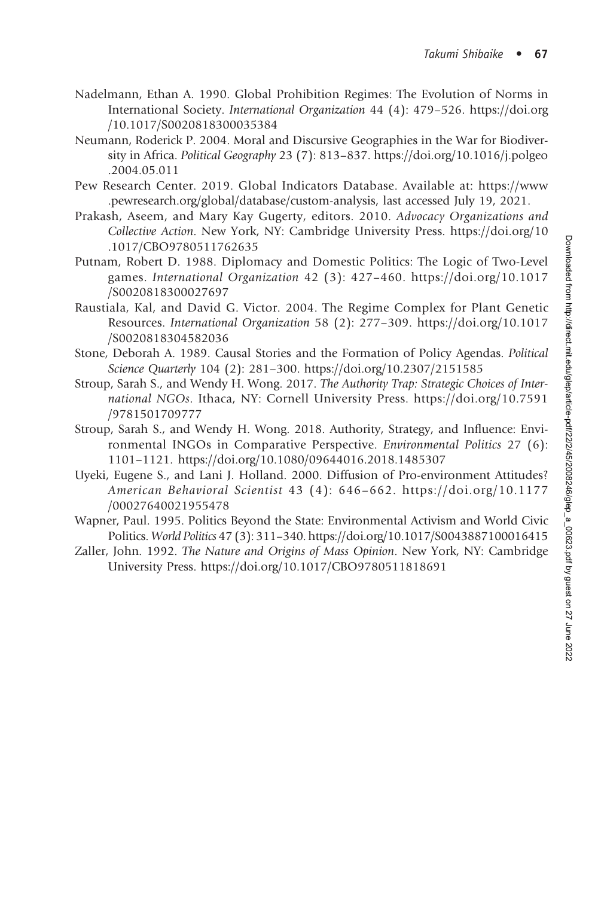- Nadelmann, Ethan A. 1990. Global Prohibition Regimes: The Evolution of Norms in International Society. International Organization 44 (4): 479–526. [https://doi.org](https://doi.org/10.1017/S0020818300035384) [/10.1017/S0020818300035384](https://doi.org/10.1017/S0020818300035384)
- Neumann, Roderick P. 2004. Moral and Discursive Geographies in the War for Biodiversity in Africa. Political Geography 23 (7): 813–837. [https://doi.org/10.1016/j.polgeo](https://doi.org/10.1016/j.polgeo.2004.05.011) [.2004.05.011](https://doi.org/10.1016/j.polgeo.2004.05.011)
- Pew Research Center. 2019. Global Indicators Database. Available at: [https://www](https://www.pewresearch.org/global/database/custom-analysis) [.pewresearch.org/global/database/custom-analysis](https://www.pewresearch.org/global/database/custom-analysis), last accessed July 19, 2021.
- Prakash, Aseem, and Mary Kay Gugerty, editors. 2010. Advocacy Organizations and Collective Action. New York, NY: Cambridge University Press. [https://doi.org/10](https://doi.org/10.1017/CBO9780511762635) [.1017/CBO9780511762635](https://doi.org/10.1017/CBO9780511762635)
- Putnam, Robert D. 1988. Diplomacy and Domestic Politics: The Logic of Two-Level games. International Organization 42 (3): 427–460. [https://doi.org/10.1017](https://doi.org/10.1017/S0020818300027697) [/S0020818300027697](https://doi.org/10.1017/S0020818300027697)
- Raustiala, Kal, and David G. Victor. 2004. The Regime Complex for Plant Genetic Resources. International Organization 58 (2): 277–309. [https://doi.org/10.1017](https://doi.org/10.1017/S0020818304582036) [/S0020818304582036](https://doi.org/10.1017/S0020818304582036)
- Stone, Deborah A. 1989. Causal Stories and the Formation of Policy Agendas. Political Science Quarterly 104 (2): 281–300.<https://doi.org/10.2307/2151585>
- Stroup, Sarah S., and Wendy H. Wong. 2017. The Authority Trap: Strategic Choices of International NGOs. Ithaca, NY: Cornell University Press. [https://doi.org/10.7591](https://doi.org/10.7591/9781501709777) [/9781501709777](https://doi.org/10.7591/9781501709777)
- Stroup, Sarah S., and Wendy H. Wong. 2018. Authority, Strategy, and Influence: Environmental INGOs in Comparative Perspective. Environmental Politics 27 (6): 1101–1121.<https://doi.org/10.1080/09644016.2018.1485307>
- Uyeki, Eugene S., and Lani J. Holland. 2000. Diffusion of Pro-environment Attitudes? American Behavioral Scientist 43 (4): 646–662. [https://doi.org/10.1177](https://doi.org/10.1177/00027640021955478) [/00027640021955478](https://doi.org/10.1177/00027640021955478)
- Wapner, Paul. 1995. Politics Beyond the State: Environmental Activism and World Civic Politics. World Politics 47 (3): 311–340.<https://doi.org/10.1017/S0043887100016415>
- Zaller, John. 1992. The Nature and Origins of Mass Opinion. New York, NY: Cambridge University Press.<https://doi.org/10.1017/CBO9780511818691>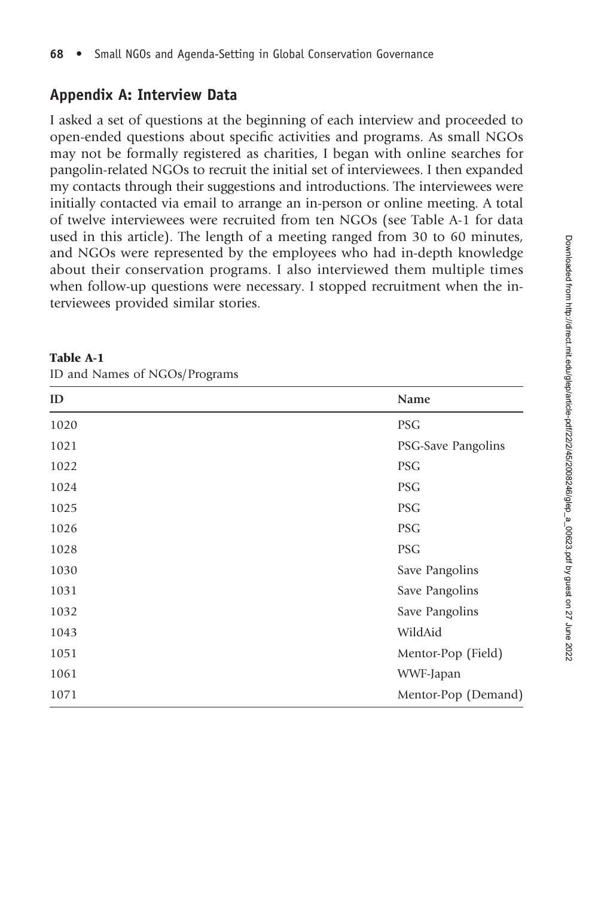#### Appendix A: Interview Data

I asked a set of questions at the beginning of each interview and proceeded to open-ended questions about specific activities and programs. As small NGOs may not be formally registered as charities, I began with online searches for pangolin-related NGOs to recruit the initial set of interviewees. I then expanded my contacts through their suggestions and introductions. The interviewees were initially contacted via email to arrange an in-person or online meeting. A total of twelve interviewees were recruited from ten NGOs (see Table A-1 for data used in this article). The length of a meeting ranged from 30 to 60 minutes, and NGOs were represented by the employees who had in-depth knowledge about their conservation programs. I also interviewed them multiple times when follow-up questions were necessary. I stopped recruitment when the interviewees provided similar stories.

| ID   | Name                |
|------|---------------------|
| 1020 | <b>PSG</b>          |
| 1021 | PSG-Save Pangolins  |
| 1022 | <b>PSG</b>          |
| 1024 | <b>PSG</b>          |
| 1025 | <b>PSG</b>          |
| 1026 | <b>PSG</b>          |
| 1028 | <b>PSG</b>          |
| 1030 | Save Pangolins      |
| 1031 | Save Pangolins      |
| 1032 | Save Pangolins      |
| 1043 | WildAid             |
| 1051 | Mentor-Pop (Field)  |
| 1061 | WWF-Japan           |
| 1071 | Mentor-Pop (Demand) |

ID and Names of NGOs/Programs